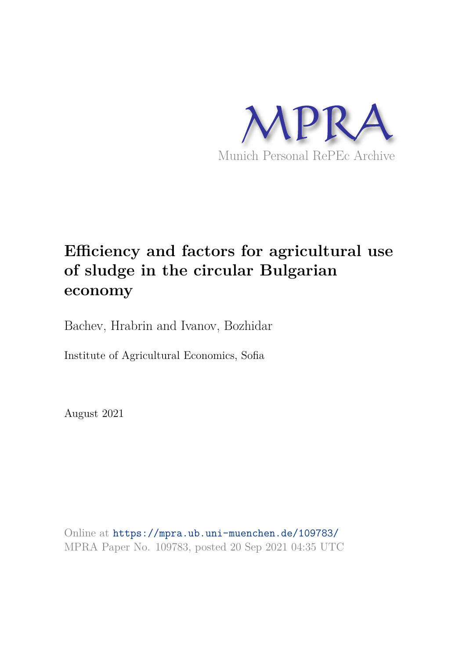

## **Efficiency and factors for agricultural use of sludge in the circular Bulgarian economy**

Bachev, Hrabrin and Ivanov, Bozhidar

Institute of Agricultural Economics, Sofia

August 2021

Online at https://mpra.ub.uni-muenchen.de/109783/ MPRA Paper No. 109783, posted 20 Sep 2021 04:35 UTC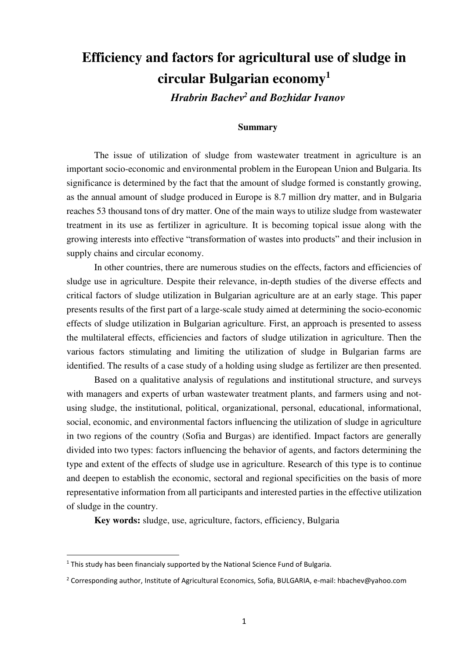# **Efficiency and factors for agricultural use of sludge in circular Bulgarian economy<sup>1</sup>**

*Hrabrin Baсhev<sup>2</sup> and Bozhidar Ivanov* 

## **Summary**

The issue of utilization of sludge from wastewater treatment in agriculture is an important socio-economic and environmental problem in the European Union and Bulgaria. Its significance is determined by the fact that the amount of sludge formed is constantly growing, as the annual amount of sludge produced in Europe is 8.7 million dry matter, and in Bulgaria reaches 53 thousand tons of dry matter. One of the main ways to utilize sludge from wastewater treatment in its use as fertilizer in agriculture. It is becoming topical issue along with the growing interests into effective "transformation of wastes into products" and their inclusion in supply chains and circular economy.

In other countries, there are numerous studies on the effects, factors and efficiencies of sludge use in agriculture. Despite their relevance, in-depth studies of the diverse effects and critical factors of sludge utilization in Bulgarian agriculture are at an early stage. This paper presents results of the first part of a large-scale study aimed at determining the socio-economic effects of sludge utilization in Bulgarian agriculture. First, an approach is presented to assess the multilateral effects, efficiencies and factors of sludge utilization in agriculture. Then the various factors stimulating and limiting the utilization of sludge in Bulgarian farms are identified. The results of a case study of a holding using sludge as fertilizer are then presented.

Based on a qualitative analysis of regulations and institutional structure, and surveys with managers and experts of urban wastewater treatment plants, and farmers using and notusing sludge, the institutional, political, organizational, personal, educational, informational, social, economic, and environmental factors influencing the utilization of sludge in agriculture in two regions of the country (Sofia and Burgas) are identified. Impact factors are generally divided into two types: factors influencing the behavior of agents, and factors determining the type and extent of the effects of sludge use in agriculture. Research of this type is to continue and deepen to establish the economic, sectoral and regional specificities on the basis of more representative information from all participants and interested parties in the effective utilization of sludge in the country.

**Key words:** sludge, use, agriculture, factors, efficiency, Bulgaria

-

 $<sup>1</sup>$  This study has been financialy supported by the National Science Fund of Bulgaria.</sup>

<sup>&</sup>lt;sup>2</sup> Corresponding author, Institute of Agricultural Economics, Sofia, BULGARIA, e-mail: hbachev@yahoo.com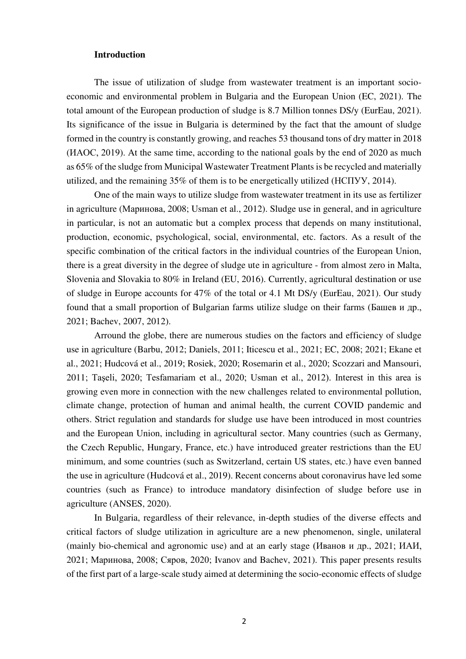## **Introduction**

The issue of utilization of sludge from wastewater treatment is an important socioeconomic and environmental problem in Bulgaria and the European Union (EC, 2021). The total amount of the European production of sludge is 8.7 Million tonnes DS/y (EurEau, 2021). Its significance of the issue in Bulgaria is determined by the fact that the amount of sludge formed in the country is constantly growing, and reaches 53 thousand tons of dry matter in 2018 (ИАОС, 2019). At the same time, according to the national goals by the end of 2020 as much as 65% of the sludge from Municipal Wastewater Treatment Plants is be recycled and materially utilized, and the remaining 35% of them is to be energetically utilized (НСПУУ, 2014).

One of the main ways to utilize sludge from wastewater treatment in its use as fertilizer in agriculture (Маринова, 2008; Usman et al., 2012). Sludge use in general, and in agriculture in particular, is not an automatic but a complex process that depends on many institutional, production, economic, psychological, social, environmental, etc. factors. As a result of the specific combination of the critical factors in the individual countries of the European Union, there is a great diversity in the degree of sludge ute in agriculture - from almost zero in Malta, Slovenia and Slovakia to 80% in Ireland (EU, 2016). Currently, agricultural destination or use of sludge in Europe accounts for 47% of the total or 4.1 Mt DS/y (EurEau, 2021). Our study found that a small proportion of Bulgarian farms utilize sludge on their farms (Башев и др., 2021; Bachev, 2007, 2012).

Arround the globe, there are numerous studies on the factors and efficiency of sludge use in agriculture (Barbu, 2012; Daniels, 2011; Iticescu et al., 2021; EC, 2008; 2021; Ekane et al., 2021; Hudcová et al., 2019; Rosiek, 2020; Rosemarin et al., 2020; Scozzari and Mansouri, 2011; Taşeli, 2020; Tesfamariam et al., 2020; Usman et al., 2012). Interest in this area is growing even more in connection with the new challenges related to environmental pollution, climate change, protection of human and animal health, the current COVID pandemic and others. Strict regulation and standards for sludge use have been introduced in most countries and the European Union, including in agricultural sector. Many countries (such as Germany, the Czech Republic, Hungary, France, etc.) have introduced greater restrictions than the EU minimum, and some countries (such as Switzerland, certain US states, etc.) have even banned the use in agriculture (Hudcová et al., 2019). Recent concerns about coronavirus have led some countries (such as France) to introduce mandatory disinfection of sludge before use in agriculture (ANSES, 2020).

In Bulgaria, regardless of their relevance, in-depth studies of the diverse effects and critical factors of sludge utilization in agriculture are a new phenomenon, single, unilateral (mainly bio-chemical and agronomic use) and at an early stage (Иванов и др., 2021; ИАИ, 2021; Маринова, 2008; Сяров, 2020; Ivanov and Bachev, 2021). This paper presents results of the first part of a large-scale study aimed at determining the socio-economic effects of sludge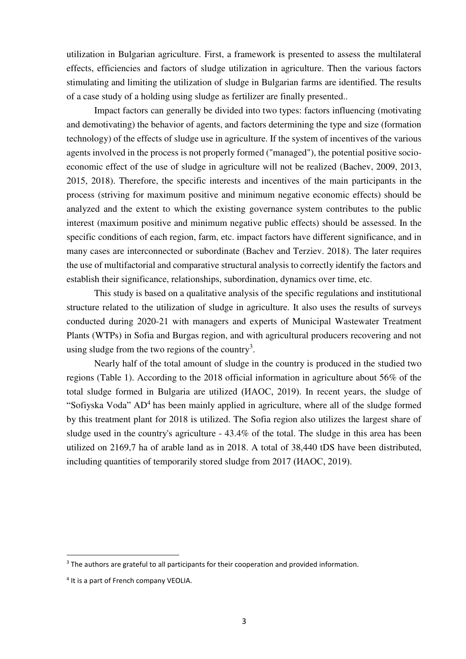utilization in Bulgarian agriculture. First, a framework is presented to assess the multilateral effects, efficiencies and factors of sludge utilization in agriculture. Then the various factors stimulating and limiting the utilization of sludge in Bulgarian farms are identified. The results of a case study of a holding using sludge as fertilizer are finally presented..

Impact factors can generally be divided into two types: factors influencing (motivating and demotivating) the behavior of agents, and factors determining the type and size (formation technology) of the effects of sludge use in agriculture. If the system of incentives of the various agents involved in the process is not properly formed ("managed"), the potential positive socioeconomic effect of the use of sludge in agriculture will not be realized (Bachev, 2009, 2013, 2015, 2018). Therefore, the specific interests and incentives of the main participants in the process (striving for maximum positive and minimum negative economic effects) should be analyzed and the extent to which the existing governance system contributes to the public interest (maximum positive and minimum negative public effects) should be assessed. In the specific conditions of each region, farm, etc. impact factors have different significance, and in many cases are interconnected or subordinate (Bachev and Terziev. 2018). The later requires the use of multifactorial and comparative structural analysis to correctly identify the factors and establish their significance, relationships, subordination, dynamics over time, etc.

This study is based on a qualitative analysis of the specific regulations and institutional structure related to the utilization of sludge in agriculture. It also uses the results of surveys conducted during 2020-21 with managers and experts of Municipal Wastewater Treatment Plants (WTPs) in Sofia and Burgas region, and with agricultural producers recovering and not using sludge from the two regions of the country<sup>3</sup>.

Nearly half of the total amount of sludge in the country is produced in the studied two regions (Table 1). According to the 2018 official information in agriculture about 56% of the total sludge formed in Bulgaria are utilized (ИАОС, 2019). In recent years, the sludge of "Sofiyska Voda" AD<sup>4</sup> has been mainly applied in agriculture, where all of the sludge formed by this treatment plant for 2018 is utilized. The Sofia region also utilizes the largest share of sludge used in the country's agriculture - 43.4% of the total. The sludge in this area has been utilized on 2169,7 ha of arable land as in 2018. A total of 38,440 tDS have been distributed, including quantities of temporarily stored sludge from 2017 (ИАОС, 2019).

-

<sup>&</sup>lt;sup>3</sup> The authors are grateful to all participants for their cooperation and provided information.

<sup>&</sup>lt;sup>4</sup> It is a part of French company VEOLIA.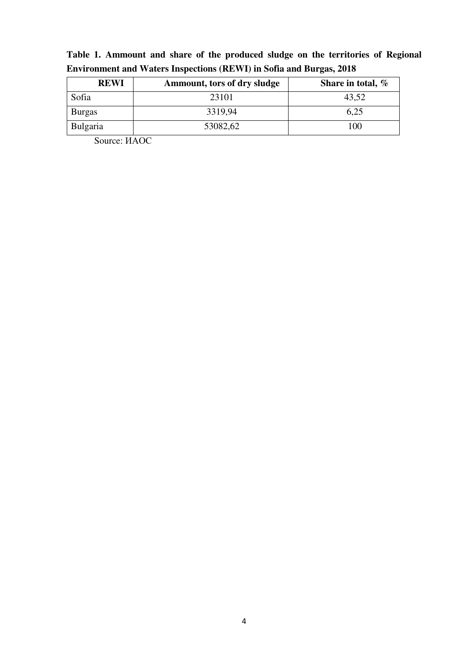| <b>REWI</b>   | <b>Ammount, tors of dry sludge</b> | Share in total, $%$ |
|---------------|------------------------------------|---------------------|
| Sofia         | 23101                              | 43,52               |
| <b>Burgas</b> | 3319,94                            | 6,25                |
| Bulgaria      | 53082,62                           | 100                 |

**Table 1. Ammount and share of the produced sludge on the territories of Regional Environment and Waters Inspections (REWI) in Sofia and Burgas, 2018** 

Source: ИАОС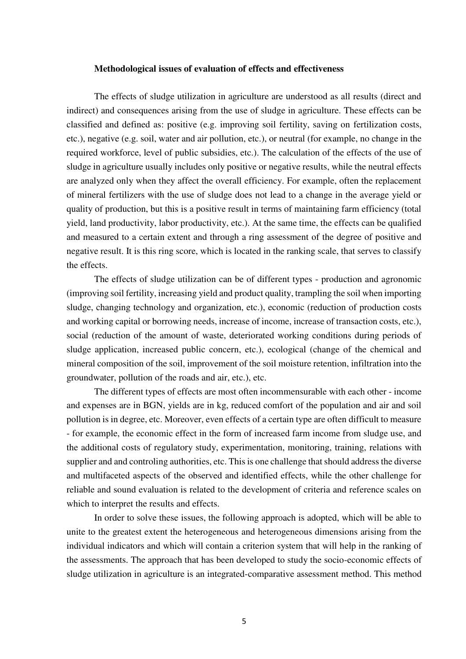### **Methodological issues of evaluation of effects and effectiveness**

The effects of sludge utilization in agriculture are understood as all results (direct and indirect) and consequences arising from the use of sludge in agriculture. These effects can be classified and defined as: positive (e.g. improving soil fertility, saving on fertilization costs, etc.), negative (e.g. soil, water and air pollution, etc.), or neutral (for example, no change in the required workforce, level of public subsidies, etc.). The calculation of the effects of the use of sludge in agriculture usually includes only positive or negative results, while the neutral effects are analyzed only when they affect the overall efficiency. For example, often the replacement of mineral fertilizers with the use of sludge does not lead to a change in the average yield or quality of production, but this is a positive result in terms of maintaining farm efficiency (total yield, land productivity, labor productivity, etc.). At the same time, the effects can be qualified and measured to a certain extent and through a ring assessment of the degree of positive and negative result. It is this ring score, which is located in the ranking scale, that serves to classify the effects.

The effects of sludge utilization can be of different types - production and agronomic (improving soil fertility, increasing yield and product quality, trampling the soil when importing sludge, changing technology and organization, etc.), economic (reduction of production costs and working capital or borrowing needs, increase of income, increase of transaction costs, etc.), social (reduction of the amount of waste, deteriorated working conditions during periods of sludge application, increased public concern, etc.), ecological (change of the chemical and mineral composition of the soil, improvement of the soil moisture retention, infiltration into the groundwater, pollution of the roads and air, etc.), etc.

The different types of effects are most often incommensurable with each other - income and expenses are in BGN, yields are in kg, reduced comfort of the population and air and soil pollution is in degree, etc. Moreover, even effects of a certain type are often difficult to measure - for example, the economic effect in the form of increased farm income from sludge use, and the additional costs of regulatory study, experimentation, monitoring, training, relations with supplier and and controling authorities, etc. This is one challenge that should address the diverse and multifaceted aspects of the observed and identified effects, while the other challenge for reliable and sound evaluation is related to the development of criteria and reference scales on which to interpret the results and effects.

In order to solve these issues, the following approach is adopted, which will be able to unite to the greatest extent the heterogeneous and heterogeneous dimensions arising from the individual indicators and which will contain a criterion system that will help in the ranking of the assessments. The approach that has been developed to study the socio-economic effects of sludge utilization in agriculture is an integrated-comparative assessment method. This method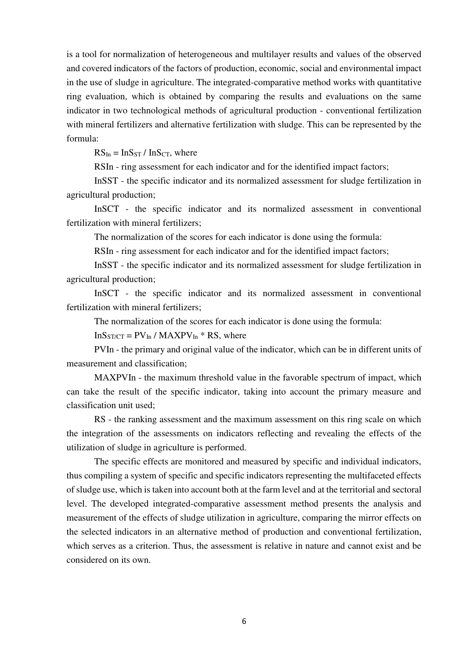is a tool for normalization of heterogeneous and multilayer results and values of the observed and covered indicators of the factors of production, economic, social and environmental impact in the use of sludge in agriculture. The integrated-comparative method works with quantitative ring evaluation, which is obtained by comparing the results and evaluations on the same indicator in two technological methods of agricultural production - conventional fertilization with mineral fertilizers and alternative fertilization with sludge. This can be represented by the formula:

 $RS_{In} = Ins_{ST} / Ins_{CT}$ , where

RSIn - ring assessment for each indicator and for the identified impact factors;

InSST - the specific indicator and its normalized assessment for sludge fertilization in agricultural production;

InSCT - the specific indicator and its normalized assessment in conventional fertilization with mineral fertilizers;

The normalization of the scores for each indicator is done using the formula:

RSIn - ring assessment for each indicator and for the identified impact factors;

InSST - the specific indicator and its normalized assessment for sludge fertilization in agricultural production;

InSCT - the specific indicator and its normalized assessment in conventional fertilization with mineral fertilizers;

The normalization of the scores for each indicator is done using the formula:

 $InS<sub>ST/CT</sub> = PV<sub>In</sub> / MAXPV<sub>In</sub> * RS, where$ 

PVIn - the primary and original value of the indicator, which can be in different units of measurement and classification;

MAXPVIn - the maximum threshold value in the favorable spectrum of impact, which can take the result of the specific indicator, taking into account the primary measure and classification unit used;

RS - the ranking assessment and the maximum assessment on this ring scale on which the integration of the assessments on indicators reflecting and revealing the effects of the utilization of sludge in agriculture is performed.

The specific effects are monitored and measured by specific and individual indicators, thus compiling a system of specific and specific indicators representing the multifaceted effects of sludge use, which is taken into account both at the farm level and at the territorial and sectoral level. The developed integrated-comparative assessment method presents the analysis and measurement of the effects of sludge utilization in agriculture, comparing the mirror effects on the selected indicators in an alternative method of production and conventional fertilization, which serves as a criterion. Thus, the assessment is relative in nature and cannot exist and be considered on its own.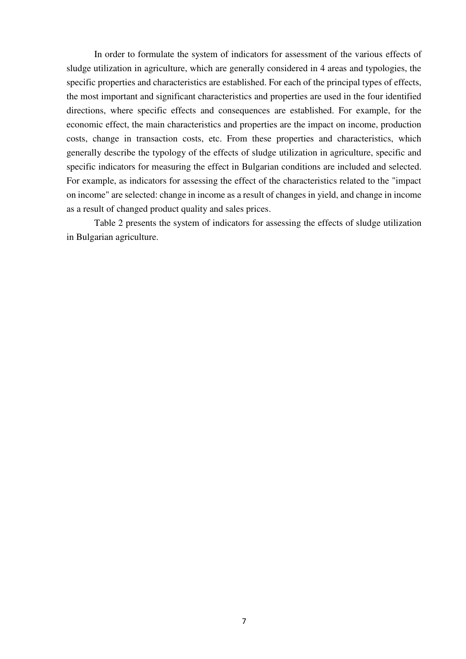In order to formulate the system of indicators for assessment of the various effects of sludge utilization in agriculture, which are generally considered in 4 areas and typologies, the specific properties and characteristics are established. For each of the principal types of effects, the most important and significant characteristics and properties are used in the four identified directions, where specific effects and consequences are established. For example, for the economic effect, the main characteristics and properties are the impact on income, production costs, change in transaction costs, etc. From these properties and characteristics, which generally describe the typology of the effects of sludge utilization in agriculture, specific and specific indicators for measuring the effect in Bulgarian conditions are included and selected. For example, as indicators for assessing the effect of the characteristics related to the "impact on income" are selected: change in income as a result of changes in yield, and change in income as a result of changed product quality and sales prices.

Table 2 presents the system of indicators for assessing the effects of sludge utilization in Bulgarian agriculture.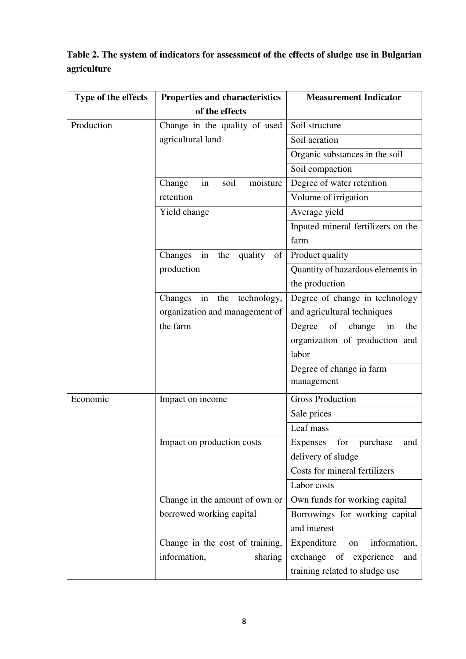| Table 2. The system of indicators for assessment of the effects of sludge use in Bulgarian |  |
|--------------------------------------------------------------------------------------------|--|
| agriculture                                                                                |  |

| Type of the effects | <b>Properties and characteristics</b> | <b>Measurement Indicator</b>        |  |  |
|---------------------|---------------------------------------|-------------------------------------|--|--|
|                     | of the effects                        |                                     |  |  |
| Production          | Change in the quality of used         | Soil structure                      |  |  |
|                     | agricultural land                     | Soil aeration                       |  |  |
|                     |                                       | Organic substances in the soil      |  |  |
|                     |                                       | Soil compaction                     |  |  |
|                     | soil<br>moisture<br>Change<br>in      | Degree of water retention           |  |  |
|                     | retention                             | Volume of irrigation                |  |  |
|                     | Yield change                          | Average yield                       |  |  |
|                     |                                       | Inputed mineral fertilizers on the  |  |  |
|                     |                                       | farm                                |  |  |
|                     | in<br>the<br>quality<br>of<br>Changes | Product quality                     |  |  |
|                     | production                            | Quantity of hazardous elements in   |  |  |
|                     |                                       | the production                      |  |  |
|                     | in the<br>Changes<br>technology,      | Degree of change in technology      |  |  |
|                     | organization and management of        | and agricultural techniques         |  |  |
|                     | the farm                              | of<br>Degree<br>change<br>in<br>the |  |  |
|                     |                                       | organization of production and      |  |  |
|                     |                                       | labor                               |  |  |
|                     |                                       | Degree of change in farm            |  |  |
|                     |                                       | management                          |  |  |
| Economic            | Impact on income                      | <b>Gross Production</b>             |  |  |
|                     |                                       | Sale prices                         |  |  |
|                     |                                       | Leaf mass                           |  |  |
|                     | Impact on production costs            | Expenses for purchase<br>and        |  |  |
|                     |                                       | delivery of sludge                  |  |  |
|                     |                                       | Costs for mineral fertilizers       |  |  |
|                     |                                       | Labor costs                         |  |  |
|                     | Change in the amount of own or        | Own funds for working capital       |  |  |
|                     | borrowed working capital              | Borrowings for working capital      |  |  |
|                     |                                       | and interest                        |  |  |
|                     | Change in the cost of training,       | information,<br>Expenditure<br>on   |  |  |
|                     | information,<br>sharing               | exchange of experience<br>and       |  |  |
|                     |                                       | training related to sludge use      |  |  |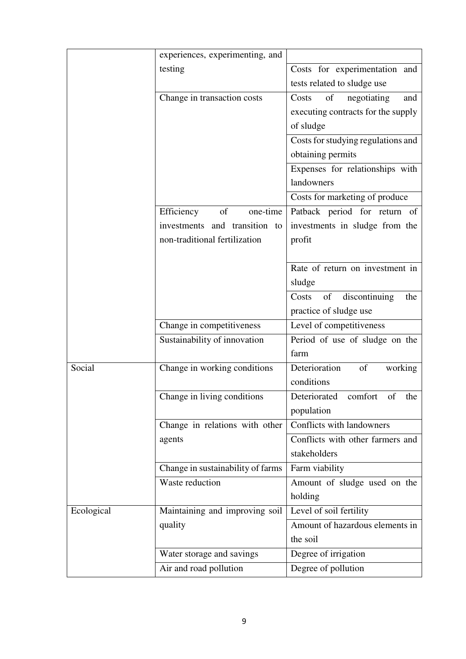|            | experiences, experimenting, and   |                                     |
|------------|-----------------------------------|-------------------------------------|
|            | testing                           | Costs for experimentation and       |
|            |                                   | tests related to sludge use         |
|            | Change in transaction costs       | of<br>negotiating<br>Costs<br>and   |
|            |                                   | executing contracts for the supply  |
|            |                                   | of sludge                           |
|            |                                   | Costs for studying regulations and  |
|            |                                   | obtaining permits                   |
|            |                                   | Expenses for relationships with     |
|            |                                   | landowners                          |
|            |                                   | Costs for marketing of produce      |
|            | of<br>one-time<br>Efficiency      | Patback period for return of        |
|            | investments and transition to     | investments in sludge from the      |
|            | non-traditional fertilization     | profit                              |
|            |                                   |                                     |
|            |                                   | Rate of return on investment in     |
|            |                                   | sludge                              |
|            |                                   | discontinuing<br>of<br>the<br>Costs |
|            |                                   | practice of sludge use              |
|            | Change in competitiveness         | Level of competitiveness            |
|            | Sustainability of innovation      | Period of use of sludge on the      |
|            |                                   | farm                                |
| Social     | Change in working conditions      | Deterioration<br>of<br>working      |
|            |                                   | conditions                          |
|            | Change in living conditions       | Deteriorated comfort of the         |
|            |                                   | population                          |
|            | Change in relations with other    | Conflicts with landowners           |
|            | agents                            | Conflicts with other farmers and    |
|            |                                   | stakeholders                        |
|            | Change in sustainability of farms | Farm viability                      |
|            | Waste reduction                   | Amount of sludge used on the        |
|            |                                   | holding                             |
| Ecological | Maintaining and improving soil    | Level of soil fertility             |
|            | quality                           | Amount of hazardous elements in     |
|            |                                   | the soil                            |
|            | Water storage and savings         | Degree of irrigation                |
|            | Air and road pollution            | Degree of pollution                 |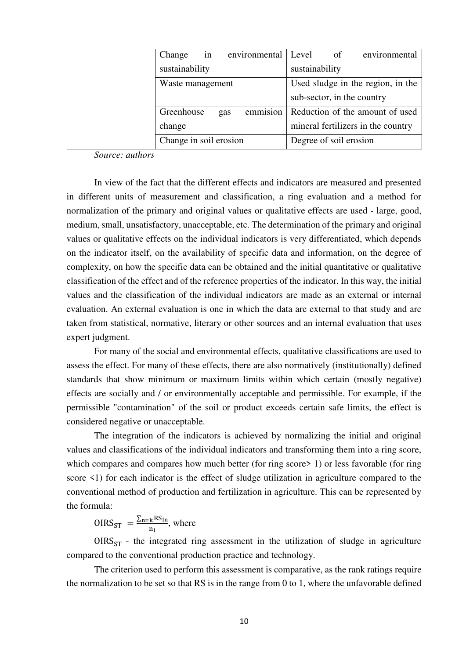| Change                 | in |     | environmental | Level          | of                     | environmental                      |
|------------------------|----|-----|---------------|----------------|------------------------|------------------------------------|
| sustainability         |    |     |               | sustainability |                        |                                    |
| Waste management       |    |     |               |                |                        | Used sludge in the region, in the  |
|                        |    |     |               |                |                        | sub-sector, in the country         |
| Greenhouse             |    | gas | emmision      |                |                        | Reduction of the amount of used    |
| change                 |    |     |               |                |                        | mineral fertilizers in the country |
| Change in soil erosion |    |     |               |                | Degree of soil erosion |                                    |

*Source: authors* 

In view of the fact that the different effects and indicators are measured and presented in different units of measurement and classification, a ring evaluation and a method for normalization of the primary and original values or qualitative effects are used - large, good, medium, small, unsatisfactory, unacceptable, etc. The determination of the primary and original values or qualitative effects on the individual indicators is very differentiated, which depends on the indicator itself, on the availability of specific data and information, on the degree of complexity, on how the specific data can be obtained and the initial quantitative or qualitative classification of the effect and of the reference properties of the indicator. In this way, the initial values and the classification of the individual indicators are made as an external or internal evaluation. An external evaluation is one in which the data are external to that study and are taken from statistical, normative, literary or other sources and an internal evaluation that uses expert judgment.

For many of the social and environmental effects, qualitative classifications are used to assess the effect. For many of these effects, there are also normatively (institutionally) defined standards that show minimum or maximum limits within which certain (mostly negative) effects are socially and / or environmentally acceptable and permissible. For example, if the permissible "contamination" of the soil or product exceeds certain safe limits, the effect is considered negative or unacceptable.

The integration of the indicators is achieved by normalizing the initial and original values and classifications of the individual indicators and transforming them into a ring score, which compares and compares how much better (for ring score in 1) or less favorable (for ring score <1) for each indicator is the effect of sludge utilization in agriculture compared to the conventional method of production and fertilization in agriculture. This can be represented by the formula:

 $OIRS_{ST} = \frac{\sum_{n=k} RS_{In}}{n_{I}}$  $\frac{k \text{N}}{n_I}$ , where

 $OIRS_{ST}$  - the integrated ring assessment in the utilization of sludge in agriculture compared to the conventional production practice and technology.

The criterion used to perform this assessment is comparative, as the rank ratings require the normalization to be set so that RS is in the range from 0 to 1, where the unfavorable defined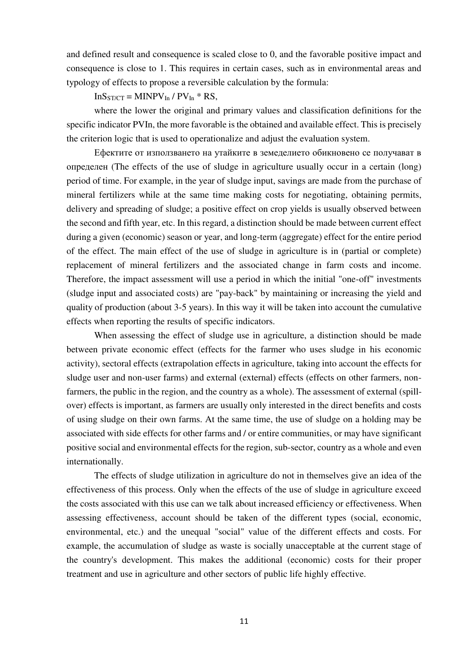and defined result and consequence is scaled close to 0, and the favorable positive impact and consequence is close to 1. This requires in certain cases, such as in environmental areas and typology of effects to propose a reversible calculation by the formula:

 $InS<sub>ST/CT</sub> = MINPV<sub>In</sub> / PV<sub>In</sub> * RS,$ 

where the lower the original and primary values and classification definitions for the specific indicator PVIn, the more favorable is the obtained and available effect. This is precisely the criterion logic that is used to operationalize and adjust the evaluation system.

Ефектите от използването на утайките в земеделието обикновено се получават в определен (The effects of the use of sludge in agriculture usually occur in a certain (long) period of time. For example, in the year of sludge input, savings are made from the purchase of mineral fertilizers while at the same time making costs for negotiating, obtaining permits, delivery and spreading of sludge; a positive effect on crop yields is usually observed between the second and fifth year, etc. In this regard, a distinction should be made between current effect during a given (economic) season or year, and long-term (aggregate) effect for the entire period of the effect. The main effect of the use of sludge in agriculture is in (partial or complete) replacement of mineral fertilizers and the associated change in farm costs and income. Therefore, the impact assessment will use a period in which the initial "one-off" investments (sludge input and associated costs) are "pay-back" by maintaining or increasing the yield and quality of production (about 3-5 years). In this way it will be taken into account the cumulative effects when reporting the results of specific indicators.

When assessing the effect of sludge use in agriculture, a distinction should be made between private economic effect (effects for the farmer who uses sludge in his economic activity), sectoral effects (extrapolation effects in agriculture, taking into account the effects for sludge user and non-user farms) and external (external) effects (effects on other farmers, nonfarmers, the public in the region, and the country as a whole). The assessment of external (spillover) effects is important, as farmers are usually only interested in the direct benefits and costs of using sludge on their own farms. At the same time, the use of sludge on a holding may be associated with side effects for other farms and / or entire communities, or may have significant positive social and environmental effects for the region, sub-sector, country as a whole and even internationally.

The effects of sludge utilization in agriculture do not in themselves give an idea of the effectiveness of this process. Only when the effects of the use of sludge in agriculture exceed the costs associated with this use can we talk about increased efficiency or effectiveness. When assessing effectiveness, account should be taken of the different types (social, economic, environmental, etc.) and the unequal "social" value of the different effects and costs. For example, the accumulation of sludge as waste is socially unacceptable at the current stage of the country's development. This makes the additional (economic) costs for their proper treatment and use in agriculture and other sectors of public life highly effective.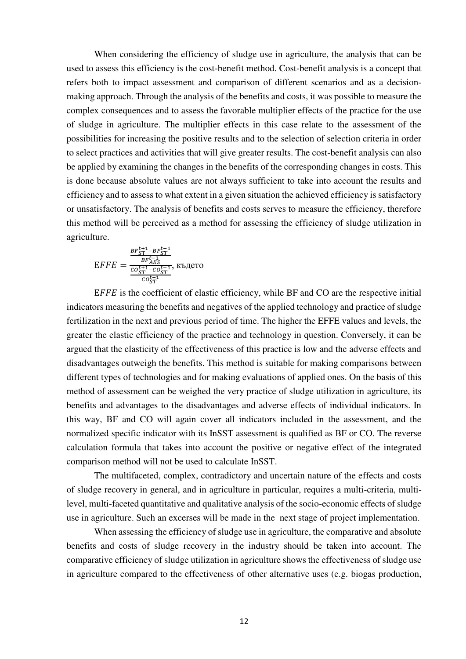When considering the efficiency of sludge use in agriculture, the analysis that can be used to assess this efficiency is the cost-benefit method. Cost-benefit analysis is a concept that refers both to impact assessment and comparison of different scenarios and as a decisionmaking approach. Through the analysis of the benefits and costs, it was possible to measure the complex consequences and to assess the favorable multiplier effects of the practice for the use of sludge in agriculture. The multiplier effects in this case relate to the assessment of the possibilities for increasing the positive results and to the selection of selection criteria in order to select practices and activities that will give greater results. The cost-benefit analysis can also be applied by examining the changes in the benefits of the corresponding changes in costs. This is done because absolute values are not always sufficient to take into account the results and efficiency and to assess to what extent in a given situation the achieved efficiency is satisfactory or unsatisfactory. The analysis of benefits and costs serves to measure the efficiency, therefore this method will be perceived as a method for assessing the efficiency of sludge utilization in agriculture.

$$
EFFE = \frac{\frac{BF_{ST}^{t+1} - BF_{ST}^{t-1}}{BF_{AES}^{t-1}}}{\frac{co_{ST}^{t+1} - co_{ST}^{t-1}}{co_{ST}^{t-1}}}
$$
,

 $E$  is the coefficient of elastic efficiency, while BF and CO are the respective initial indicators measuring the benefits and negatives of the applied technology and practice of sludge fertilization in the next and previous period of time. The higher the EFFE values and levels, the greater the elastic efficiency of the practice and technology in question. Conversely, it can be argued that the elasticity of the effectiveness of this practice is low and the adverse effects and disadvantages outweigh the benefits. This method is suitable for making comparisons between different types of technologies and for making evaluations of applied ones. On the basis of this method of assessment can be weighed the very practice of sludge utilization in agriculture, its benefits and advantages to the disadvantages and adverse effects of individual indicators. In this way, BF and CO will again cover all indicators included in the assessment, and the normalized specific indicator with its InSST assessment is qualified as BF or CO. The reverse calculation formula that takes into account the positive or negative effect of the integrated comparison method will not be used to calculate InSST.

The multifaceted, complex, contradictory and uncertain nature of the effects and costs of sludge recovery in general, and in agriculture in particular, requires a multi-criteria, multilevel, multi-faceted quantitative and qualitative analysis of the socio-economic effects of sludge use in agriculture. Such an excerses will be made in the next stage of project implementation.

When assessing the efficiency of sludge use in agriculture, the comparative and absolute benefits and costs of sludge recovery in the industry should be taken into account. The comparative efficiency of sludge utilization in agriculture shows the effectiveness of sludge use in agriculture compared to the effectiveness of other alternative uses (e.g. biogas production,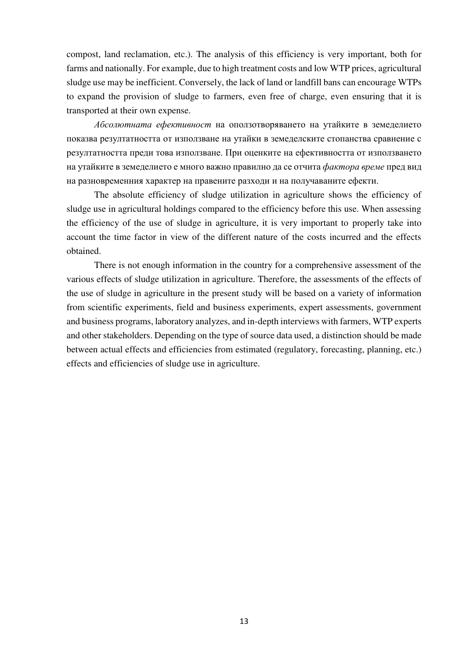compost, land reclamation, etc.). The analysis of this efficiency is very important, both for farms and nationally. For example, due to high treatment costs and low WTP prices, agricultural sludge use may be inefficient. Conversely, the lack of land or landfill bans can encourage WTPs to expand the provision of sludge to farmers, even free of charge, even ensuring that it is transported at their own expense.

*Абсолютната ефективност* на оползотворяването на утайките в земеделието показва резултатността от използване на утайки в земеделските стопанства сравнение с резултатността преди това използване. При оценките на ефективността от използването на утайките в земеделието е много важно правилно да се отчита *фактора време* пред вид на разновременния характер на правените разходи и на получаваните ефекти.

The absolute efficiency of sludge utilization in agriculture shows the efficiency of sludge use in agricultural holdings compared to the efficiency before this use. When assessing the efficiency of the use of sludge in agriculture, it is very important to properly take into account the time factor in view of the different nature of the costs incurred and the effects obtained.

There is not enough information in the country for a comprehensive assessment of the various effects of sludge utilization in agriculture. Therefore, the assessments of the effects of the use of sludge in agriculture in the present study will be based on a variety of information from scientific experiments, field and business experiments, expert assessments, government and business programs, laboratory analyzes, and in-depth interviews with farmers, WTP experts and other stakeholders. Depending on the type of source data used, a distinction should be made between actual effects and efficiencies from estimated (regulatory, forecasting, planning, etc.) effects and efficiencies of sludge use in agriculture.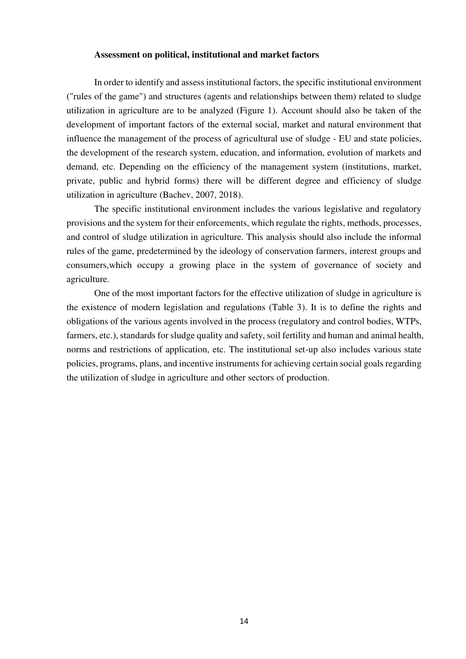### **Assessment on political, institutional and market factors**

In order to identify and assess institutional factors, the specific institutional environment ("rules of the game") and structures (agents and relationships between them) related to sludge utilization in agriculture are to be analyzed (Figure 1). Account should also be taken of the development of important factors of the external social, market and natural environment that influence the management of the process of agricultural use of sludge - EU and state policies, the development of the research system, education, and information, evolution of markets and demand, etc. Depending on the efficiency of the management system (institutions, market, private, public and hybrid forms) there will be different degree and efficiency of sludge utilization in agriculture (Bachev, 2007, 2018).

The specific institutional environment includes the various legislative and regulatory provisions and the system for their enforcements, which regulate the rights, methods, processes, and control of sludge utilization in agriculture. This analysis should also include the informal rules of the game, predetermined by the ideology of conservation farmers, interest groups and consumers,which occupy a growing place in the system of governance of society and agriculture.

One of the most important factors for the effective utilization of sludge in agriculture is the existence of modern legislation and regulations (Table 3). It is to define the rights and obligations of the various agents involved in the process (regulatory and control bodies, WTPs, farmers, etc.), standards for sludge quality and safety, soil fertility and human and animal health, norms and restrictions of application, etc. The institutional set-up also includes various state policies, programs, plans, and incentive instruments for achieving certain social goals regarding the utilization of sludge in agriculture and other sectors of production.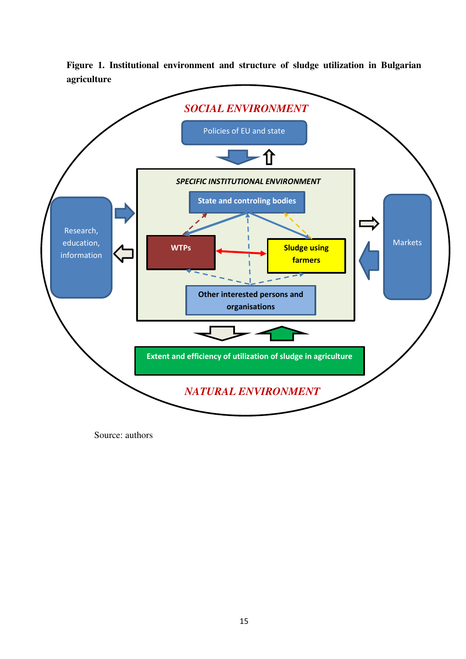**Figure 1. Institutional environment and structure of sludge utilization in Bulgarian agriculture** 



Source: authors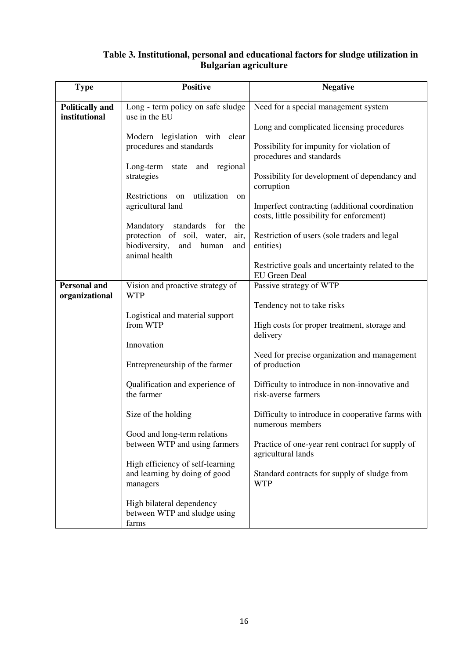## **Table 3. Institutional, personal and educational factors for sludge utilization in Bulgarian agriculture**

| <b>Type</b>                             | <b>Positive</b>                                                               | <b>Negative</b>                                                                             |
|-----------------------------------------|-------------------------------------------------------------------------------|---------------------------------------------------------------------------------------------|
| <b>Politically and</b><br>institutional | Long - term policy on safe sludge<br>use in the EU                            | Need for a special management system                                                        |
|                                         |                                                                               | Long and complicated licensing procedures                                                   |
|                                         | Modern legislation with clear<br>procedures and standards                     | Possibility for impunity for violation of                                                   |
|                                         | Long-term state and regional                                                  | procedures and standards                                                                    |
|                                         | strategies                                                                    | Possibility for development of dependancy and<br>corruption                                 |
|                                         | Restrictions<br>on utilization<br>on<br>agricultural land                     | Imperfect contracting (additional coordination<br>costs, little possibility for enforcment) |
|                                         | Mandatory<br>standards<br>for<br>the<br>protection of soil, water,<br>air,    | Restriction of users (sole traders and legal                                                |
|                                         | biodiversity,<br>and<br>human<br>and<br>animal health                         | entities)                                                                                   |
|                                         |                                                                               | Restrictive goals and uncertainty related to the<br><b>EU</b> Green Deal                    |
| <b>Personal and</b><br>organizational   | Vision and proactive strategy of<br><b>WTP</b>                                | Passive strategy of WTP                                                                     |
|                                         | Logistical and material support                                               | Tendency not to take risks                                                                  |
|                                         | from WTP                                                                      | High costs for proper treatment, storage and<br>delivery                                    |
|                                         | Innovation                                                                    | Need for precise organization and management                                                |
|                                         | Entrepreneurship of the farmer                                                | of production                                                                               |
|                                         | Qualification and experience of<br>the farmer                                 | Difficulty to introduce in non-innovative and<br>risk-averse farmers                        |
|                                         | Size of the holding                                                           | Difficulty to introduce in cooperative farms with<br>numerous members                       |
|                                         | Good and long-term relations<br>between WTP and using farmers                 | Practice of one-year rent contract for supply of<br>agricultural lands                      |
|                                         | High efficiency of self-learning<br>and learning by doing of good<br>managers | Standard contracts for supply of sludge from<br><b>WTP</b>                                  |
|                                         | High bilateral dependency<br>between WTP and sludge using<br>farms            |                                                                                             |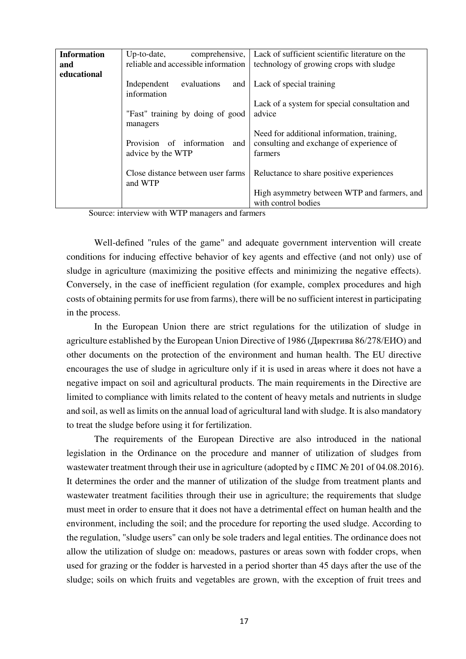| <b>Information</b> | $Up-to-date$ ,                                       | comprehensive, Lack of sufficient scientific literature on the                                    |
|--------------------|------------------------------------------------------|---------------------------------------------------------------------------------------------------|
| and                | reliable and accessible information                  | technology of growing crops with sludge                                                           |
| educational        |                                                      |                                                                                                   |
|                    | Independent<br>evaluations<br>information            | and   Lack of special training                                                                    |
|                    |                                                      | Lack of a system for special consultation and                                                     |
|                    | "Fast" training by doing of good                     | advice                                                                                            |
|                    | managers                                             |                                                                                                   |
|                    | Provision of information<br>and<br>advice by the WTP | Need for additional information, training,<br>consulting and exchange of experience of<br>farmers |
|                    | Close distance between user farms<br>and WTP         | Reluctance to share positive experiences                                                          |
|                    |                                                      | High asymmetry between WTP and farmers, and                                                       |
|                    |                                                      | with control bodies                                                                               |

Source: interview with WTP managers and farmers

Well-defined "rules of the game" and adequate government intervention will create conditions for inducing effective behavior of key agents and effective (and not only) use of sludge in agriculture (maximizing the positive effects and minimizing the negative effects). Conversely, in the case of inefficient regulation (for example, complex procedures and high costs of obtaining permits for use from farms), there will be no sufficient interest in participating in the process.

In the European Union there are strict regulations for the utilization of sludge in agriculture established by the European Union Directive of 1986 (Директива 86/278/ЕИО) and other documents on the protection of the environment and human health. The EU directive encourages the use of sludge in agriculture only if it is used in areas where it does not have a negative impact on soil and agricultural products. The main requirements in the Directive are limited to compliance with limits related to the content of heavy metals and nutrients in sludge and soil, as well as limits on the annual load of agricultural land with sludge. It is also mandatory to treat the sludge before using it for fertilization.

The requirements of the European Directive are also introduced in the national legislation in the Ordinance on the procedure and manner of utilization of sludges from wastewater treatment through their use in agriculture (adopted by c  $\Gamma$ MC  $\mathcal{N}$  201 of 04.08.2016). It determines the order and the manner of utilization of the sludge from treatment plants and wastewater treatment facilities through their use in agriculture; the requirements that sludge must meet in order to ensure that it does not have a detrimental effect on human health and the environment, including the soil; and the procedure for reporting the used sludge. According to the regulation, "sludge users" can only be sole traders and legal entities. The ordinance does not allow the utilization of sludge on: meadows, pastures or areas sown with fodder crops, when used for grazing or the fodder is harvested in a period shorter than 45 days after the use of the sludge; soils on which fruits and vegetables are grown, with the exception of fruit trees and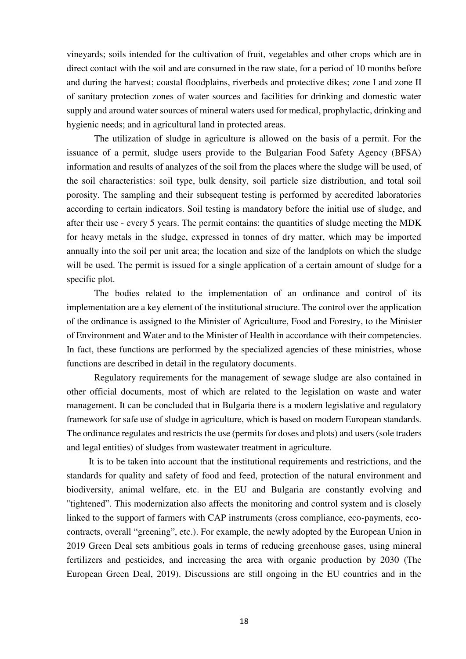vineyards; soils intended for the cultivation of fruit, vegetables and other crops which are in direct contact with the soil and are consumed in the raw state, for a period of 10 months before and during the harvest; coastal floodplains, riverbeds and protective dikes; zone I and zone II of sanitary protection zones of water sources and facilities for drinking and domestic water supply and around water sources of mineral waters used for medical, prophylactic, drinking and hygienic needs; and in agricultural land in protected areas.

The utilization of sludge in agriculture is allowed on the basis of a permit. For the issuance of a permit, sludge users provide to the Bulgarian Food Safety Agency (BFSA) information and results of analyzes of the soil from the places where the sludge will be used, of the soil characteristics: soil type, bulk density, soil particle size distribution, and total soil porosity. The sampling and their subsequent testing is performed by accredited laboratories according to certain indicators. Soil testing is mandatory before the initial use of sludge, and after their use - every 5 years. The permit contains: the quantities of sludge meeting the MDK for heavy metals in the sludge, expressed in tonnes of dry matter, which may be imported annually into the soil per unit area; the location and size of the landplots on which the sludge will be used. The permit is issued for a single application of a certain amount of sludge for a specific plot.

The bodies related to the implementation of an ordinance and control of its implementation are a key element of the institutional structure. The control over the application of the ordinance is assigned to the Minister of Agriculture, Food and Forestry, to the Minister of Environment and Water and to the Minister of Health in accordance with their competencies. In fact, these functions are performed by the specialized agencies of these ministries, whose functions are described in detail in the regulatory documents.

Regulatory requirements for the management of sewage sludge are also contained in other official documents, most of which are related to the legislation on waste and water management. It can be concluded that in Bulgaria there is a modern legislative and regulatory framework for safe use of sludge in agriculture, which is based on modern European standards. The ordinance regulates and restricts the use (permits for doses and plots) and users (sole traders and legal entities) of sludges from wastewater treatment in agriculture.

It is to be taken into account that the institutional requirements and restrictions, and the standards for quality and safety of food and feed, protection of the natural environment and biodiversity, animal welfare, etc. in the EU and Bulgaria are constantly evolving and "tightened". This modernization also affects the monitoring and control system and is closely linked to the support of farmers with CAP instruments (cross compliance, eco-payments, ecocontracts, overall "greening", etc.). For example, the newly adopted by the European Union in 2019 Green Deal sets ambitious goals in terms of reducing greenhouse gases, using mineral fertilizers and pesticides, and increasing the area with organic production by 2030 (The European Green Deal, 2019). Discussions are still ongoing in the EU countries and in the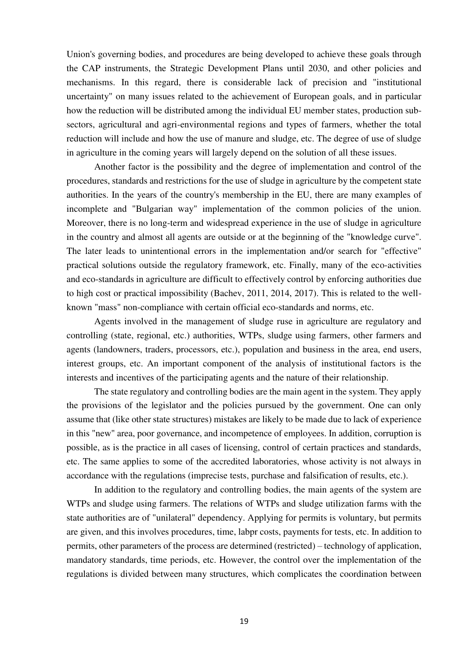Union's governing bodies, and procedures are being developed to achieve these goals through the CAP instruments, the Strategic Development Plans until 2030, and other policies and mechanisms. In this regard, there is considerable lack of precision and "institutional uncertainty" on many issues related to the achievement of European goals, and in particular how the reduction will be distributed among the individual EU member states, production subsectors, agricultural and agri-environmental regions and types of farmers, whether the total reduction will include and how the use of manure and sludge, etc. The degree of use of sludge in agriculture in the coming years will largely depend on the solution of all these issues.

Another factor is the possibility and the degree of implementation and control of the procedures, standards and restrictions for the use of sludge in agriculture by the competent state authorities. In the years of the country's membership in the EU, there are many examples of incomplete and "Bulgarian way" implementation of the common policies of the union. Moreover, there is no long-term and widespread experience in the use of sludge in agriculture in the country and almost all agents are outside or at the beginning of the "knowledge curve". The later leads to unintentional errors in the implementation and/or search for "effective" practical solutions outside the regulatory framework, etc. Finally, many of the eco-activities and eco-standards in agriculture are difficult to effectively control by enforcing authorities due to high cost or practical impossibility (Bachev, 2011, 2014, 2017). This is related to the wellknown "mass" non-compliance with certain official eco-standards and norms, etc.

Agents involved in the management of sludge ruse in agriculture are regulatory and controlling (state, regional, etc.) authorities, WTPs, sludge using farmers, other farmers and agents (landowners, traders, processors, etc.), population and business in the area, end users, interest groups, etc. An important component of the analysis of institutional factors is the interests and incentives of the participating agents and the nature of their relationship.

The state regulatory and controlling bodies are the main agent in the system. They apply the provisions of the legislator and the policies pursued by the government. One can only assume that (like other state structures) mistakes are likely to be made due to lack of experience in this "new" area, poor governance, and incompetence of employees. In addition, corruption is possible, as is the practice in all cases of licensing, control of certain practices and standards, etc. The same applies to some of the accredited laboratories, whose activity is not always in accordance with the regulations (imprecise tests, purchase and falsification of results, etc.).

In addition to the regulatory and controlling bodies, the main agents of the system are WTPs and sludge using farmers. The relations of WTPs and sludge utilization farms with the state authorities are of "unilateral" dependency. Applying for permits is voluntary, but permits are given, and this involves procedures, time, labpr costs, payments for tests, etc. In addition to permits, other parameters of the process are determined (restricted) – technology of application, mandatory standards, time periods, etc. However, the control over the implementation of the regulations is divided between many structures, which complicates the coordination between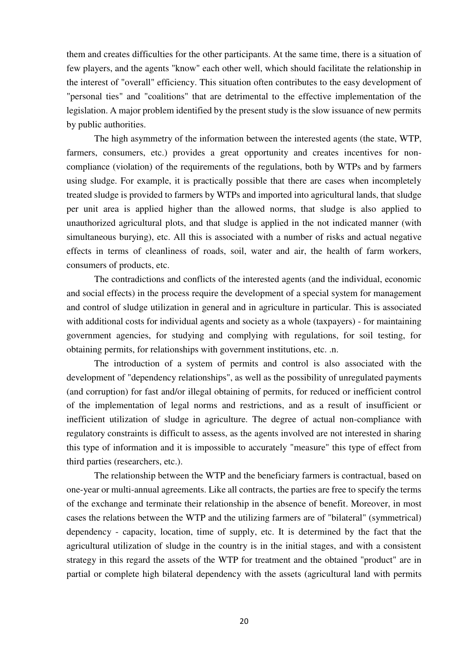them and creates difficulties for the other participants. At the same time, there is a situation of few players, and the agents "know" each other well, which should facilitate the relationship in the interest of "overall" efficiency. This situation often contributes to the easy development of "personal ties" and "coalitions" that are detrimental to the effective implementation of the legislation. A major problem identified by the present study is the slow issuance of new permits by public authorities.

The high asymmetry of the information between the interested agents (the state, WTP, farmers, consumers, etc.) provides a great opportunity and creates incentives for noncompliance (violation) of the requirements of the regulations, both by WTPs and by farmers using sludge. For example, it is practically possible that there are cases when incompletely treated sludge is provided to farmers by WTPs and imported into agricultural lands, that sludge per unit area is applied higher than the allowed norms, that sludge is also applied to unauthorized agricultural plots, and that sludge is applied in the not indicated manner (with simultaneous burying), etc. All this is associated with a number of risks and actual negative effects in terms of cleanliness of roads, soil, water and air, the health of farm workers, consumers of products, etc.

The contradictions and conflicts of the interested agents (and the individual, economic and social effects) in the process require the development of a special system for management and control of sludge utilization in general and in agriculture in particular. This is associated with additional costs for individual agents and society as a whole (taxpayers) - for maintaining government agencies, for studying and complying with regulations, for soil testing, for obtaining permits, for relationships with government institutions, etc. .n.

The introduction of a system of permits and control is also associated with the development of "dependency relationships", as well as the possibility of unregulated payments (and corruption) for fast and/or illegal obtaining of permits, for reduced or inefficient control of the implementation of legal norms and restrictions, and as a result of insufficient or inefficient utilization of sludge in agriculture. The degree of actual non-compliance with regulatory constraints is difficult to assess, as the agents involved are not interested in sharing this type of information and it is impossible to accurately "measure" this type of effect from third parties (researchers, etc.).

The relationship between the WTP and the beneficiary farmers is contractual, based on one-year or multi-annual agreements. Like all contracts, the parties are free to specify the terms of the exchange and terminate their relationship in the absence of benefit. Moreover, in most cases the relations between the WTP and the utilizing farmers are of "bilateral" (symmetrical) dependency - capacity, location, time of supply, etc. It is determined by the fact that the agricultural utilization of sludge in the country is in the initial stages, and with a consistent strategy in this regard the assets of the WTP for treatment and the obtained "product" are in partial or complete high bilateral dependency with the assets (agricultural land with permits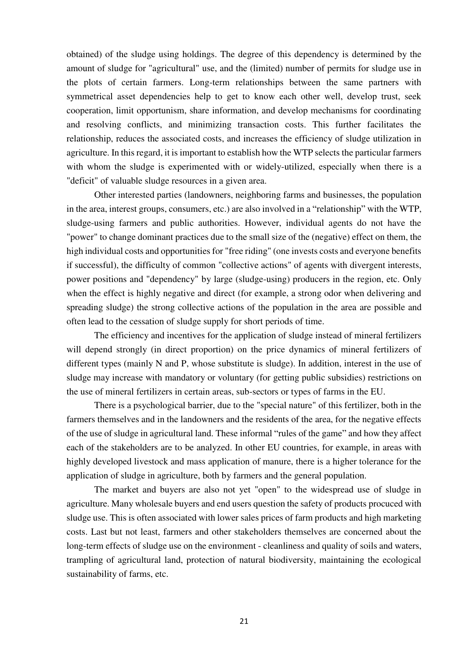obtained) of the sludge using holdings. The degree of this dependency is determined by the amount of sludge for "agricultural" use, and the (limited) number of permits for sludge use in the plots of certain farmers. Long-term relationships between the same partners with symmetrical asset dependencies help to get to know each other well, develop trust, seek cooperation, limit opportunism, share information, and develop mechanisms for coordinating and resolving conflicts, and minimizing transaction costs. This further facilitates the relationship, reduces the associated costs, and increases the efficiency of sludge utilization in agriculture. In this regard, it is important to establish how the WTP selects the particular farmers with whom the sludge is experimented with or widely-utilized, especially when there is a "deficit" of valuable sludge resources in a given area.

Other interested parties (landowners, neighboring farms and businesses, the population in the area, interest groups, consumers, etc.) are also involved in a "relationship" with the WTP, sludge-using farmers and public authorities. However, individual agents do not have the "power" to change dominant practices due to the small size of the (negative) effect on them, the high individual costs and opportunities for "free riding" (one invests costs and everyone benefits if successful), the difficulty of common "collective actions" of agents with divergent interests, power positions and "dependency" by large (sludge-using) producers in the region, etc. Only when the effect is highly negative and direct (for example, a strong odor when delivering and spreading sludge) the strong collective actions of the population in the area are possible and often lead to the cessation of sludge supply for short periods of time.

The efficiency and incentives for the application of sludge instead of mineral fertilizers will depend strongly (in direct proportion) on the price dynamics of mineral fertilizers of different types (mainly N and P, whose substitute is sludge). In addition, interest in the use of sludge may increase with mandatory or voluntary (for getting public subsidies) restrictions on the use of mineral fertilizers in certain areas, sub-sectors or types of farms in the EU.

There is a psychological barrier, due to the "special nature" of this fertilizer, both in the farmers themselves and in the landowners and the residents of the area, for the negative effects of the use of sludge in agricultural land. These informal "rules of the game" and how they affect each of the stakeholders are to be analyzed. In other EU countries, for example, in areas with highly developed livestock and mass application of manure, there is a higher tolerance for the application of sludge in agriculture, both by farmers and the general population.

The market and buyers are also not yet "open" to the widespread use of sludge in agriculture. Many wholesale buyers and end users question the safety of products procuced with sludge use. This is often associated with lower sales prices of farm products and high marketing costs. Last but not least, farmers and other stakeholders themselves are concerned about the long-term effects of sludge use on the environment - cleanliness and quality of soils and waters, trampling of agricultural land, protection of natural biodiversity, maintaining the ecological sustainability of farms, etc.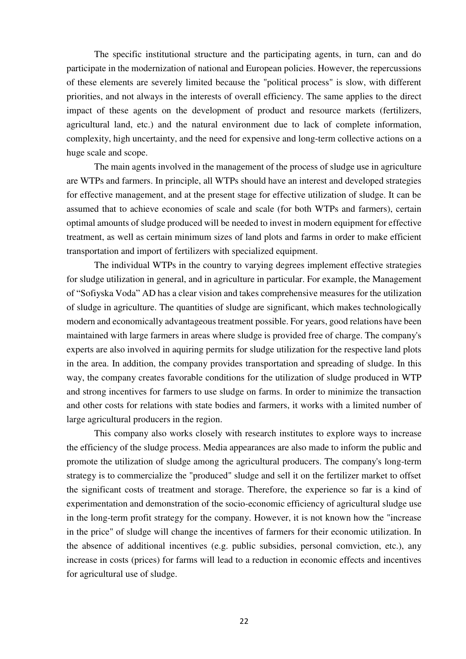The specific institutional structure and the participating agents, in turn, can and do participate in the modernization of national and European policies. However, the repercussions of these elements are severely limited because the "political process" is slow, with different priorities, and not always in the interests of overall efficiency. The same applies to the direct impact of these agents on the development of product and resource markets (fertilizers, agricultural land, etc.) and the natural environment due to lack of complete information, complexity, high uncertainty, and the need for expensive and long-term collective actions on a huge scale and scope.

The main agents involved in the management of the process of sludge use in agriculture are WTPs and farmers. In principle, all WTPs should have an interest and developed strategies for effective management, and at the present stage for effective utilization of sludge. It can be assumed that to achieve economies of scale and scale (for both WTPs and farmers), certain optimal amounts of sludge produced will be needed to invest in modern equipment for effective treatment, as well as certain minimum sizes of land plots and farms in order to make efficient transportation and import of fertilizers with specialized equipment.

The individual WTPs in the country to varying degrees implement effective strategies for sludge utilization in general, and in agriculture in particular. For example, the Management of "Sofiyska Voda" AD has a clear vision and takes comprehensive measures for the utilization of sludge in agriculture. The quantities of sludge are significant, which makes technologically modern and economically advantageous treatment possible. For years, good relations have been maintained with large farmers in areas where sludge is provided free of charge. The company's experts are also involved in aquiring permits for sludge utilization for the respective land plots in the area. In addition, the company provides transportation and spreading of sludge. In this way, the company creates favorable conditions for the utilization of sludge produced in WTP and strong incentives for farmers to use sludge on farms. In order to minimize the transaction and other costs for relations with state bodies and farmers, it works with a limited number of large agricultural producers in the region.

This company also works closely with research institutes to explore ways to increase the efficiency of the sludge process. Media appearances are also made to inform the public and promote the utilization of sludge among the agricultural producers. The company's long-term strategy is to commercialize the "produced" sludge and sell it on the fertilizer market to offset the significant costs of treatment and storage. Therefore, the experience so far is a kind of experimentation and demonstration of the socio-economic efficiency of agricultural sludge use in the long-term profit strategy for the company. However, it is not known how the "increase in the price" of sludge will change the incentives of farmers for their economic utilization. In the absence of additional incentives (e.g. public subsidies, personal comviction, etc.), any increase in costs (prices) for farms will lead to a reduction in economic effects and incentives for agricultural use of sludge.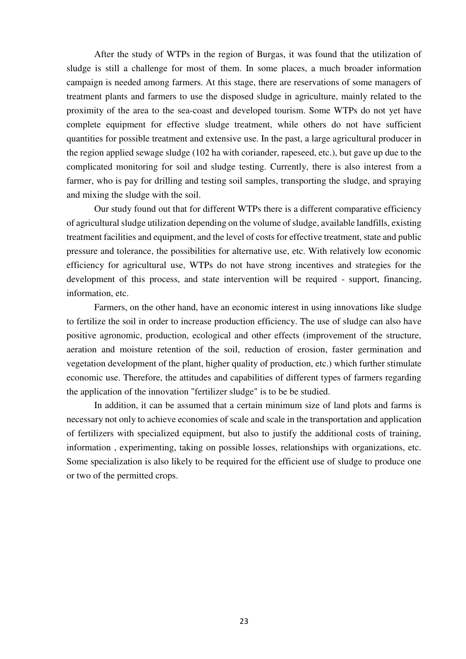After the study of WTPs in the region of Burgas, it was found that the utilization of sludge is still a challenge for most of them. In some places, a much broader information campaign is needed among farmers. At this stage, there are reservations of some managers of treatment plants and farmers to use the disposed sludge in agriculture, mainly related to the proximity of the area to the sea-coast and developed tourism. Some WTPs do not yet have complete equipment for effective sludge treatment, while others do not have sufficient quantities for possible treatment and extensive use. In the past, a large agricultural producer in the region applied sewage sludge (102 ha with coriander, rapeseed, etc.), but gave up due to the complicated monitoring for soil and sludge testing. Currently, there is also interest from a farmer, who is pay for drilling and testing soil samples, transporting the sludge, and spraying and mixing the sludge with the soil.

Our study found out that for different WTPs there is a different comparative efficiency of agricultural sludge utilization depending on the volume of sludge, available landfills, existing treatment facilities and equipment, and the level of costs for effective treatment, state and public pressure and tolerance, the possibilities for alternative use, etc. With relatively low economic efficiency for agricultural use, WTPs do not have strong incentives and strategies for the development of this process, and state intervention will be required - support, financing, information, etc.

Farmers, on the other hand, have an economic interest in using innovations like sludge to fertilize the soil in order to increase production efficiency. The use of sludge can also have positive agronomic, production, ecological and other effects (improvement of the structure, aeration and moisture retention of the soil, reduction of erosion, faster germination and vegetation development of the plant, higher quality of production, etc.) which further stimulate economic use. Therefore, the attitudes and capabilities of different types of farmers regarding the application of the innovation "fertilizer sludge" is to be be studied.

In addition, it can be assumed that a certain minimum size of land plots and farms is necessary not only to achieve economies of scale and scale in the transportation and application of fertilizers with specialized equipment, but also to justify the additional costs of training, information , experimenting, taking on possible losses, relationships with organizations, etc. Some specialization is also likely to be required for the efficient use of sludge to produce one or two of the permitted crops.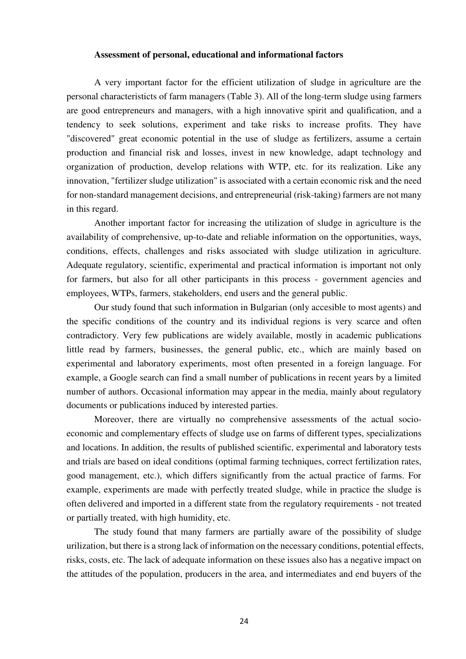### **Assessment of personal, educational and informational factors**

A very important factor for the efficient utilization of sludge in agriculture are the personal characteristicts of farm managers (Table 3). All of the long-term sludge using farmers are good entrepreneurs and managers, with a high innovative spirit and qualification, and a tendency to seek solutions, experiment and take risks to increase profits. They have "discovered" great economic potential in the use of sludge as fertilizers, assume a certain production and financial risk and losses, invest in new knowledge, adapt technology and organization of production, develop relations with WTP, etc. for its realization. Like any innovation, "fertilizer sludge utilization" is associated with a certain economic risk and the need for non-standard management decisions, and entrepreneurial (risk-taking) farmers are not many in this regard.

Another important factor for increasing the utilization of sludge in agriculture is the availability of comprehensive, up-to-date and reliable information on the opportunities, ways, conditions, effects, challenges and risks associated with sludge utilization in agriculture. Adequate regulatory, scientific, experimental and practical information is important not only for farmers, but also for all other participants in this process - government agencies and employees, WTPs, farmers, stakeholders, end users and the general public.

Our study found that such information in Bulgarian (only accesible to most agents) and the specific conditions of the country and its individual regions is very scarce and often contradictory. Very few publications are widely available, mostly in academic publications little read by farmers, businesses, the general public, etc., which are mainly based on experimental and laboratory experiments, most often presented in a foreign language. For example, a Google search can find a small number of publications in recent years by a limited number of authors. Occasional information may appear in the media, mainly about regulatory documents or publications induced by interested parties.

Moreover, there are virtually no comprehensive assessments of the actual socioeconomic and complementary effects of sludge use on farms of different types, specializations and locations. In addition, the results of published scientific, experimental and laboratory tests and trials are based on ideal conditions (optimal farming techniques, correct fertilization rates, good management, etc.), which differs significantly from the actual practice of farms. For example, experiments are made with perfectly treated sludge, while in practice the sludge is often delivered and imported in a different state from the regulatory requirements - not treated or partially treated, with high humidity, etc.

The study found that many farmers are partially aware of the possibility of sludge urilization, but there is a strong lack of information on the necessary conditions, potential effects, risks, costs, etc. The lack of adequate information on these issues also has a negative impact on the attitudes of the population, producers in the area, and intermediates and end buyers of the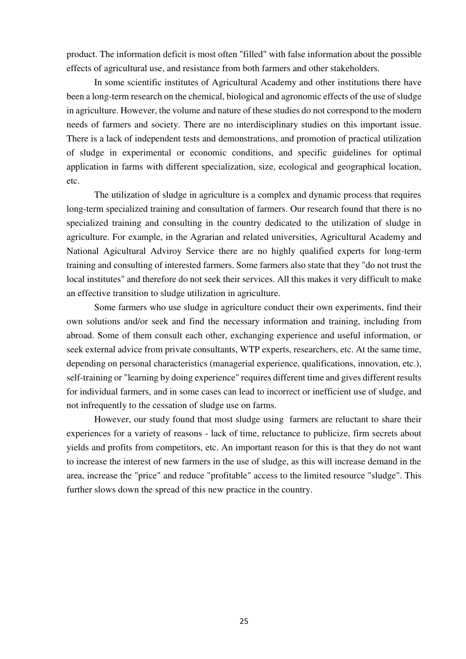product. The information deficit is most often "filled" with false information about the possible effects of agricultural use, and resistance from both farmers and other stakeholders.

In some scientific institutes of Agricultural Academy and other institutions there have been a long-term research on the chemical, biological and agronomic effects of the use of sludge in agriculture. However, the volume and nature of these studies do not correspond to the modern needs of farmers and society. There are no interdisciplinary studies on this important issue. There is a lack of independent tests and demonstrations, and promotion of practical utilization of sludge in experimental or economic conditions, and specific guidelines for optimal application in farms with different specialization, size, ecological and geographical location, etc.

The utilization of sludge in agriculture is a complex and dynamic process that requires long-term specialized training and consultation of farmers. Our research found that there is no specialized training and consulting in the country dedicated to the utilization of sludge in agriculture. For example, in the Agrarian and related universities, Agricultural Academy and National Agicultural Adviroy Service there are no highly qualified experts for long-term training and consulting of interested farmers. Some farmers also state that they "do not trust the local institutes" and therefore do not seek their services. All this makes it very difficult to make an effective transition to sludge utilization in agriculture.

Some farmers who use sludge in agriculture conduct their own experiments, find their own solutions and/or seek and find the necessary information and training, including from abroad. Some of them consult each other, exchanging experience and useful information, or seek external advice from private consultants, WTP experts, researchers, etc. At the same time, depending on personal characteristics (managerial experience, qualifications, innovation, etc.), self-training or "learning by doing experience" requires different time and gives different results for individual farmers, and in some cases can lead to incorrect or inefficient use of sludge, and not infrequently to the cessation of sludge use on farms.

However, our study found that most sludge using farmers are reluctant to share their experiences for a variety of reasons - lack of time, reluctance to publicize, firm secrets about yields and profits from competitors, etc. An important reason for this is that they do not want to increase the interest of new farmers in the use of sludge, as this will increase demand in the area, increase the "price" and reduce "profitable" access to the limited resource "sludge". This further slows down the spread of this new practice in the country.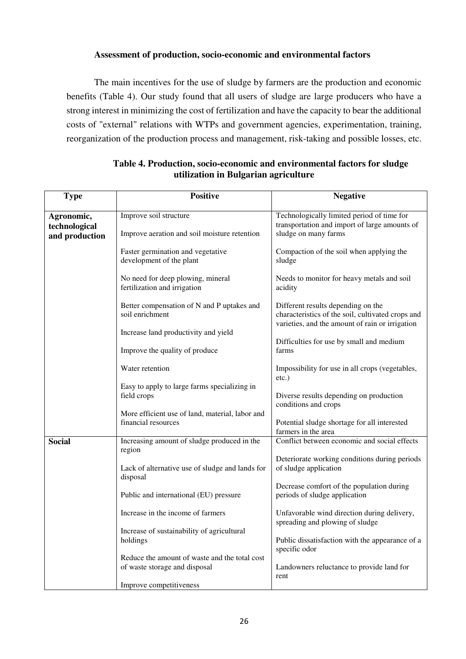## **Assessment of production, socio-economic and environmental factors**

The main incentives for the use of sludge by farmers are the production and economic benefits (Table 4). Our study found that all users of sludge are large producers who have a strong interest in minimizing the cost of fertilization and have the capacity to bear the additional costs of "external" relations with WTPs and government agencies, experimentation, training, reorganization of the production process and management, risk-taking and possible losses, etc.

| <b>Type</b>    | <b>Positive</b>                                                        | <b>Negative</b>                                                                                      |
|----------------|------------------------------------------------------------------------|------------------------------------------------------------------------------------------------------|
| Agronomic,     | Improve soil structure                                                 | Technologically limited period of time for                                                           |
| technological  |                                                                        | transportation and import of large amounts of                                                        |
| and production | Improve aeration and soil moisture retention                           | sludge on many farms                                                                                 |
|                | Faster germination and vegetative                                      | Compaction of the soil when applying the                                                             |
|                | development of the plant                                               | sludge                                                                                               |
|                | No need for deep plowing, mineral<br>fertilization and irrigation      | Needs to monitor for heavy metals and soil<br>acidity                                                |
|                |                                                                        |                                                                                                      |
|                | Better compensation of N and P uptakes and                             | Different results depending on the                                                                   |
|                | soil enrichment                                                        | characteristics of the soil, cultivated crops and<br>varieties, and the amount of rain or irrigation |
|                | Increase land productivity and yield                                   |                                                                                                      |
|                | Improve the quality of produce                                         | Difficulties for use by small and medium<br>farms                                                    |
|                |                                                                        |                                                                                                      |
|                | Water retention                                                        | Impossibility for use in all crops (vegetables,                                                      |
|                | Easy to apply to large farms specializing in                           | $etc.$ )                                                                                             |
|                | field crops                                                            | Diverse results depending on production                                                              |
|                |                                                                        | conditions and crops                                                                                 |
|                | More efficient use of land, material, labor and<br>financial resources | Potential sludge shortage for all interested                                                         |
|                |                                                                        | farmers in the area                                                                                  |
| <b>Social</b>  | Increasing amount of sludge produced in the<br>region                  | Conflict between economic and social effects                                                         |
|                |                                                                        | Deteriorate working conditions during periods                                                        |
|                | Lack of alternative use of sludge and lands for<br>disposal            | of sludge application                                                                                |
|                |                                                                        | Decrease comfort of the population during                                                            |
|                | Public and international (EU) pressure                                 | periods of sludge application                                                                        |
|                | Increase in the income of farmers                                      | Unfavorable wind direction during delivery,<br>spreading and plowing of sludge                       |
|                | Increase of sustainability of agricultural                             |                                                                                                      |
|                | holdings                                                               | Public dissatisfaction with the appearance of a<br>specific odor                                     |
|                | Reduce the amount of waste and the total cost                          |                                                                                                      |
|                | of waste storage and disposal                                          | Landowners reluctance to provide land for<br>rent                                                    |
|                | Improve competitiveness                                                |                                                                                                      |

## **Table 4. Production, socio-economic and environmental factors for sludge utilization in Bulgarian agriculture**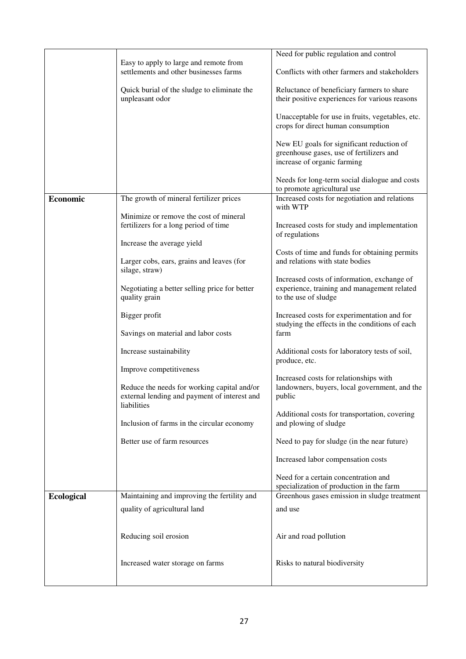|                   |                                                                                                            | Need for public regulation and control                                                                               |
|-------------------|------------------------------------------------------------------------------------------------------------|----------------------------------------------------------------------------------------------------------------------|
|                   | Easy to apply to large and remote from<br>settlements and other businesses farms                           | Conflicts with other farmers and stakeholders                                                                        |
|                   | Quick burial of the sludge to eliminate the                                                                | Reluctance of beneficiary farmers to share                                                                           |
|                   | unpleasant odor                                                                                            | their positive experiences for various reasons                                                                       |
|                   |                                                                                                            | Unacceptable for use in fruits, vegetables, etc.<br>crops for direct human consumption                               |
|                   |                                                                                                            | New EU goals for significant reduction of<br>greenhouse gases, use of fertilizers and<br>increase of organic farming |
|                   |                                                                                                            | Needs for long-term social dialogue and costs<br>to promote agricultural use                                         |
| <b>Economic</b>   | The growth of mineral fertilizer prices                                                                    | Increased costs for negotiation and relations<br>with WTP                                                            |
|                   | Minimize or remove the cost of mineral<br>fertilizers for a long period of time                            | Increased costs for study and implementation<br>of regulations                                                       |
|                   | Increase the average yield                                                                                 | Costs of time and funds for obtaining permits                                                                        |
|                   | Larger cobs, ears, grains and leaves (for<br>silage, straw)                                                | and relations with state bodies                                                                                      |
|                   | Negotiating a better selling price for better<br>quality grain                                             | Increased costs of information, exchange of<br>experience, training and management related<br>to the use of sludge   |
|                   | Bigger profit<br>Savings on material and labor costs                                                       | Increased costs for experimentation and for<br>studying the effects in the conditions of each<br>farm                |
|                   |                                                                                                            |                                                                                                                      |
|                   | Increase sustainability                                                                                    | Additional costs for laboratory tests of soil,<br>produce, etc.                                                      |
|                   | Improve competitiveness                                                                                    | Increased costs for relationships with                                                                               |
|                   | Reduce the needs for working capital and/or<br>external lending and payment of interest and<br>liabilities | landowners, buyers, local government, and the<br>public                                                              |
|                   | Inclusion of farms in the circular economy                                                                 | Additional costs for transportation, covering<br>and plowing of sludge                                               |
|                   | Better use of farm resources                                                                               | Need to pay for sludge (in the near future)                                                                          |
|                   |                                                                                                            | Increased labor compensation costs                                                                                   |
|                   |                                                                                                            | Need for a certain concentration and<br>specialization of production in the farm                                     |
| <b>Ecological</b> | Maintaining and improving the fertility and                                                                | Greenhous gases emission in sludge treatment                                                                         |
|                   | quality of agricultural land                                                                               | and use                                                                                                              |
|                   | Reducing soil erosion                                                                                      | Air and road pollution                                                                                               |
|                   | Increased water storage on farms                                                                           | Risks to natural biodiversity                                                                                        |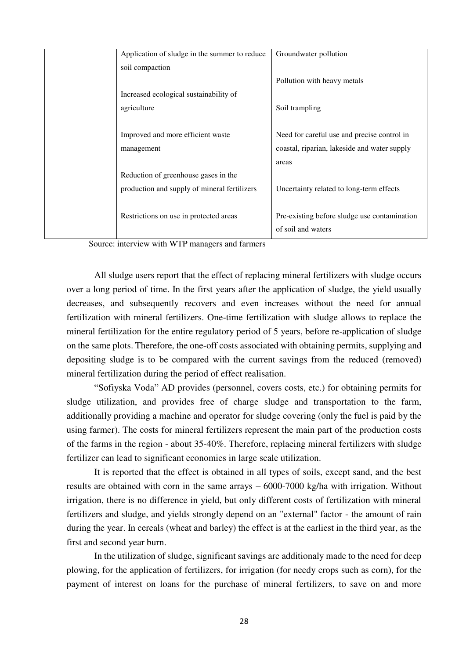| Application of sludge in the summer to reduce | Groundwater pollution                        |
|-----------------------------------------------|----------------------------------------------|
| soil compaction                               |                                              |
|                                               | Pollution with heavy metals                  |
| Increased ecological sustainability of        |                                              |
| agriculture                                   | Soil trampling                               |
|                                               |                                              |
| Improved and more efficient waste             | Need for careful use and precise control in  |
| management                                    | coastal, riparian, lakeside and water supply |
|                                               | areas                                        |
| Reduction of greenhouse gases in the          |                                              |
| production and supply of mineral fertilizers  | Uncertainty related to long-term effects     |
|                                               |                                              |
| Restrictions on use in protected areas        | Pre-existing before sludge use contamination |
|                                               | of soil and waters                           |
|                                               |                                              |

Source: interview with WTP managers and farmers

All sludge users report that the effect of replacing mineral fertilizers with sludge occurs over a long period of time. In the first years after the application of sludge, the yield usually decreases, and subsequently recovers and even increases without the need for annual fertilization with mineral fertilizers. One-time fertilization with sludge allows to replace the mineral fertilization for the entire regulatory period of 5 years, before re-application of sludge on the same plots. Therefore, the one-off costs associated with obtaining permits, supplying and depositing sludge is to be compared with the current savings from the reduced (removed) mineral fertilization during the period of effect realisation.

"Sofiyska Voda" AD provides (personnel, covers costs, etc.) for obtaining permits for sludge utilization, and provides free of charge sludge and transportation to the farm, additionally providing a machine and operator for sludge covering (only the fuel is paid by the using farmer). The costs for mineral fertilizers represent the main part of the production costs of the farms in the region - about 35-40%. Therefore, replacing mineral fertilizers with sludge fertilizer can lead to significant economies in large scale utilization.

It is reported that the effect is obtained in all types of soils, except sand, and the best results are obtained with corn in the same arrays – 6000-7000 kg/ha with irrigation. Without irrigation, there is no difference in yield, but only different costs of fertilization with mineral fertilizers and sludge, and yields strongly depend on an "external" factor - the amount of rain during the year. In cereals (wheat and barley) the effect is at the earliest in the third year, as the first and second year burn.

In the utilization of sludge, significant savings are additionaly made to the need for deep plowing, for the application of fertilizers, for irrigation (for needy crops such as corn), for the payment of interest on loans for the purchase of mineral fertilizers, to save on and more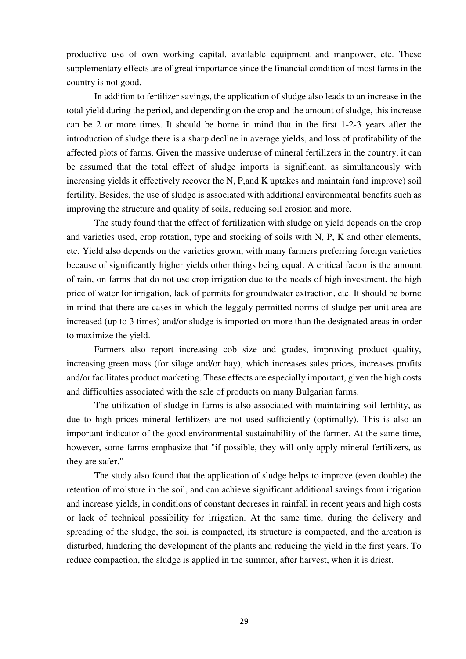productive use of own working capital, available equipment and manpower, etc. These supplementary effects are of great importance since the financial condition of most farms in the country is not good.

In addition to fertilizer savings, the application of sludge also leads to an increase in the total yield during the period, and depending on the crop and the amount of sludge, this increase can be 2 or more times. It should be borne in mind that in the first 1-2-3 years after the introduction of sludge there is a sharp decline in average yields, and loss of profitability of the affected plots of farms. Given the massive underuse of mineral fertilizers in the country, it can be assumed that the total effect of sludge imports is significant, as simultaneously with increasing yields it effectively recover the N, P,and K uptakes and maintain (and improve) soil fertility. Besides, the use of sludge is associated with additional environmental benefits such as improving the structure and quality of soils, reducing soil erosion and more.

The study found that the effect of fertilization with sludge on yield depends on the crop and varieties used, crop rotation, type and stocking of soils with N, P, K and other elements, etc. Yield also depends on the varieties grown, with many farmers preferring foreign varieties because of significantly higher yields other things being equal. A critical factor is the amount of rain, on farms that do not use crop irrigation due to the needs of high investment, the high price of water for irrigation, lack of permits for groundwater extraction, etc. It should be borne in mind that there are cases in which the leggaly permitted norms of sludge per unit area are increased (up to 3 times) and/or sludge is imported on more than the designated areas in order to maximize the yield.

Farmers also report increasing cob size and grades, improving product quality, increasing green mass (for silage and/or hay), which increases sales prices, increases profits and/or facilitates product marketing. These effects are especially important, given the high costs and difficulties associated with the sale of products on many Bulgarian farms.

The utilization of sludge in farms is also associated with maintaining soil fertility, as due to high prices mineral fertilizers are not used sufficiently (optimally). This is also an important indicator of the good environmental sustainability of the farmer. At the same time, however, some farms emphasize that "if possible, they will only apply mineral fertilizers, as they are safer."

The study also found that the application of sludge helps to improve (even double) the retention of moisture in the soil, and can achieve significant additional savings from irrigation and increase yields, in conditions of constant decreses in rainfall in recent years and high costs or lack of technical possibility for irrigation. At the same time, during the delivery and spreading of the sludge, the soil is compacted, its structure is compacted, and the areation is disturbed, hindering the development of the plants and reducing the yield in the first years. To reduce compaction, the sludge is applied in the summer, after harvest, when it is driest.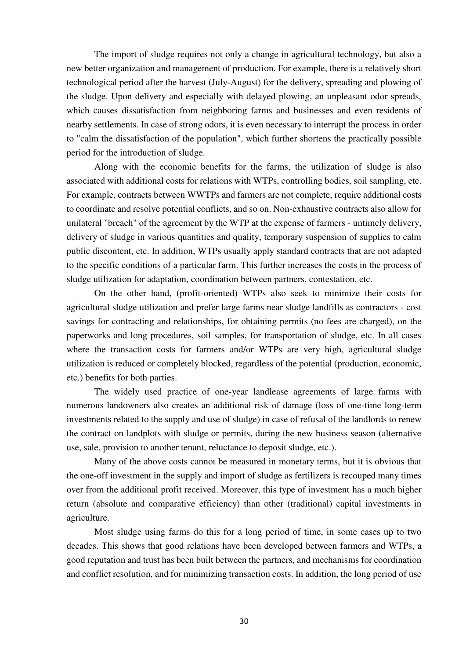The import of sludge requires not only a change in agricultural technology, but also a new better organization and management of production. For example, there is a relatively short technological period after the harvest (July-August) for the delivery, spreading and plowing of the sludge. Upon delivery and especially with delayed plowing, an unpleasant odor spreads, which causes dissatisfaction from neighboring farms and businesses and even residents of nearby settlements. In case of strong odors, it is even necessary to interrupt the process in order to "calm the dissatisfaction of the population", which further shortens the practically possible period for the introduction of sludge.

Along with the economic benefits for the farms, the utilization of sludge is also associated with additional costs for relations with WTPs, controlling bodies, soil sampling, etc. For example, contracts between WWTPs and farmers are not complete, require additional costs to coordinate and resolve potential conflicts, and so on. Non-exhaustive contracts also allow for unilateral "breach" of the agreement by the WTP at the expense of farmers - untimely delivery, delivery of sludge in various quantities and quality, temporary suspension of supplies to calm public discontent, etc. In addition, WTPs usually apply standard contracts that are not adapted to the specific conditions of a particular farm. This further increases the costs in the process of sludge utilization for adaptation, coordination between partners, contestation, etc.

On the other hand, (profit-oriented) WTPs also seek to minimize their costs for agricultural sludge utilization and prefer large farms near sludge landfills as contractors - cost savings for contracting and relationships, for obtaining permits (no fees are charged), on the paperworks and long procedures, soil samples, for transportation of sludge, etc. In all cases where the transaction costs for farmers and/or WTPs are very high, agricultural sludge utilization is reduced or completely blocked, regardless of the potential (production, economic, etc.) benefits for both parties.

The widely used practice of one-year landlease agreements of large farms with numerous landowners also creates an additional risk of damage (loss of one-time long-term investments related to the supply and use of sludge) in case of refusal of the landlords to renew the contract on landplots with sludge or permits, during the new business season (alternative use, sale, provision to another tenant, reluctance to deposit sludge, etc.).

Many of the above costs cannot be measured in monetary terms, but it is obvious that the one-off investment in the supply and import of sludge as fertilizers is recouped many times over from the additional profit received. Moreover, this type of investment has a much higher return (absolute and comparative efficiency) than other (traditional) capital investments in agriculture.

Most sludge using farms do this for a long period of time, in some cases up to two decades. This shows that good relations have been developed between farmers and WTPs, a good reputation and trust has been built between the partners, and mechanisms for coordination and conflict resolution, and for minimizing transaction costs. In addition, the long period of use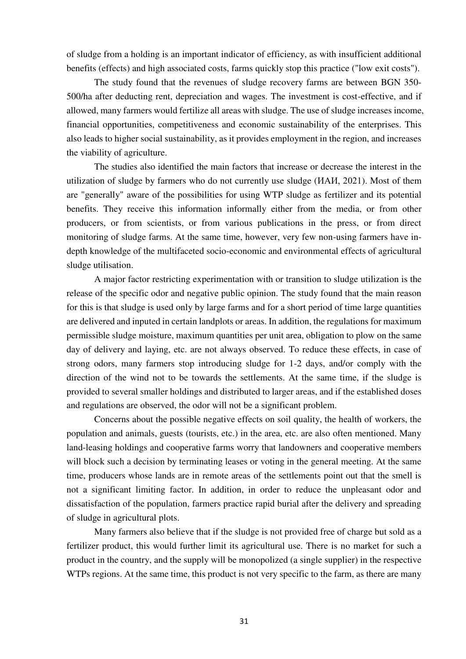of sludge from a holding is an important indicator of efficiency, as with insufficient additional benefits (effects) and high associated costs, farms quickly stop this practice ("low exit costs").

The study found that the revenues of sludge recovery farms are between BGN 350- 500/ha after deducting rent, depreciation and wages. The investment is cost-effective, and if allowed, many farmers would fertilize all areas with sludge. The use of sludge increases income, financial opportunities, competitiveness and economic sustainability of the enterprises. This also leads to higher social sustainability, as it provides employment in the region, and increases the viability of agriculture.

The studies also identified the main factors that increase or decrease the interest in the utilization of sludge by farmers who do not currently use sludge (ИАИ, 2021). Most of them are "generally" aware of the possibilities for using WTP sludge as fertilizer and its potential benefits. They receive this information informally either from the media, or from other producers, or from scientists, or from various publications in the press, or from direct monitoring of sludge farms. At the same time, however, very few non-using farmers have indepth knowledge of the multifaceted socio-economic and environmental effects of agricultural sludge utilisation.

A major factor restricting experimentation with or transition to sludge utilization is the release of the specific odor and negative public opinion. The study found that the main reason for this is that sludge is used only by large farms and for a short period of time large quantities are delivered and inputed in certain landplots or areas. In addition, the regulations for maximum permissible sludge moisture, maximum quantities per unit area, obligation to plow on the same day of delivery and laying, etc. are not always observed. To reduce these effects, in case of strong odors, many farmers stop introducing sludge for 1-2 days, and/or comply with the direction of the wind not to be towards the settlements. At the same time, if the sludge is provided to several smaller holdings and distributed to larger areas, and if the established doses and regulations are observed, the odor will not be a significant problem.

Concerns about the possible negative effects on soil quality, the health of workers, the population and animals, guests (tourists, etc.) in the area, etc. are also often mentioned. Many land-leasing holdings and cooperative farms worry that landowners and cooperative members will block such a decision by terminating leases or voting in the general meeting. At the same time, producers whose lands are in remote areas of the settlements point out that the smell is not a significant limiting factor. In addition, in order to reduce the unpleasant odor and dissatisfaction of the population, farmers practice rapid burial after the delivery and spreading of sludge in agricultural plots.

Many farmers also believe that if the sludge is not provided free of charge but sold as a fertilizer product, this would further limit its agricultural use. There is no market for such a product in the country, and the supply will be monopolized (a single supplier) in the respective WTPs regions. At the same time, this product is not very specific to the farm, as there are many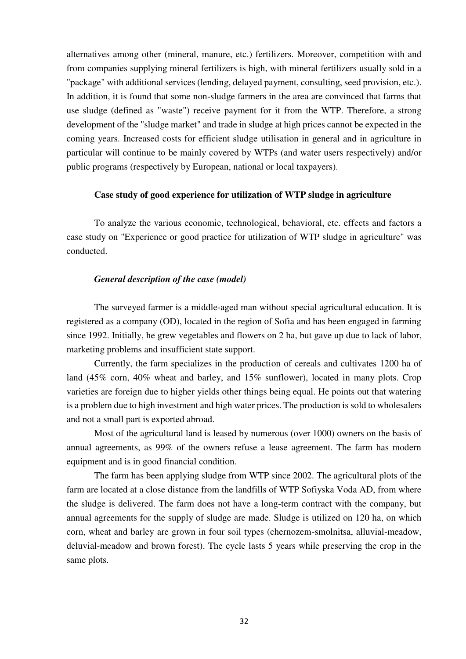alternatives among other (mineral, manure, etc.) fertilizers. Moreover, competition with and from companies supplying mineral fertilizers is high, with mineral fertilizers usually sold in a "package" with additional services (lending, delayed payment, consulting, seed provision, etc.). In addition, it is found that some non-sludge farmers in the area are convinced that farms that use sludge (defined as "waste") receive payment for it from the WTP. Therefore, a strong development of the "sludge market" and trade in sludge at high prices cannot be expected in the coming years. Increased costs for efficient sludge utilisation in general and in agriculture in particular will continue to be mainly covered by WTPs (and water users respectively) and/or public programs (respectively by European, national or local taxpayers).

## **Case study of good experience for utilization of WTP sludge in agriculture**

To analyze the various economic, technological, behavioral, etc. effects and factors a case study on "Experience or good practice for utilization of WTP sludge in agriculture" was conducted.

## *General description of the case (model)*

The surveyed farmer is a middle-aged man without special agricultural education. It is registered as a company (OD), located in the region of Sofia and has been engaged in farming since 1992. Initially, he grew vegetables and flowers on 2 ha, but gave up due to lack of labor, marketing problems and insufficient state support.

Currently, the farm specializes in the production of cereals and cultivates 1200 ha of land (45% corn, 40% wheat and barley, and 15% sunflower), located in many plots. Crop varieties are foreign due to higher yields other things being equal. He points out that watering is a problem due to high investment and high water prices. The production is sold to wholesalers and not a small part is exported abroad.

Most of the agricultural land is leased by numerous (over 1000) owners on the basis of annual agreements, as 99% of the owners refuse a lease agreement. The farm has modern equipment and is in good financial condition.

The farm has been applying sludge from WTP since 2002. The agricultural plots of the farm are located at a close distance from the landfills of WTP Sofiyska Voda AD, from where the sludge is delivered. The farm does not have a long-term contract with the company, but annual agreements for the supply of sludge are made. Sludge is utilized on 120 ha, on which corn, wheat and barley are grown in four soil types (chernozem-smolnitsa, alluvial-meadow, deluvial-meadow and brown forest). The cycle lasts 5 years while preserving the crop in the same plots.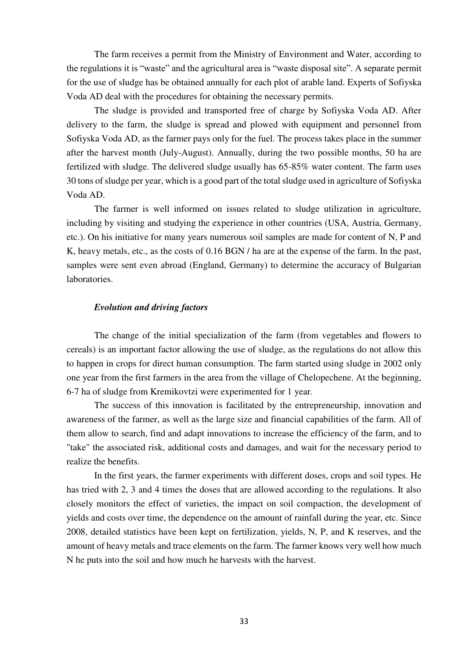The farm receives a permit from the Ministry of Environment and Water, according to the regulations it is "waste" and the agricultural area is "waste disposal site". A separate permit for the use of sludge has be obtained annually for each plot of arable land. Experts of Sofiyska Voda AD deal with the procedures for obtaining the necessary permits.

The sludge is provided and transported free of charge by Sofiyska Voda AD. After delivery to the farm, the sludge is spread and plowed with equipment and personnel from Sofiyska Voda AD, as the farmer pays only for the fuel. The process takes place in the summer after the harvest month (July-August). Annually, during the two possible months, 50 ha are fertilized with sludge. The delivered sludge usually has 65-85% water content. The farm uses 30 tons of sludge per year, which is a good part of the total sludge used in agriculture of Sofiyska Voda AD.

The farmer is well informed on issues related to sludge utilization in agriculture, including by visiting and studying the experience in other countries (USA, Austria, Germany, etc.). On his initiative for many years numerous soil samples are made for content of N, P and K, heavy metals, etc., as the costs of 0.16 BGN / ha are at the expense of the farm. In the past, samples were sent even abroad (England, Germany) to determine the accuracy of Bulgarian laboratories.

## *Evolution and driving factors*

The change of the initial specialization of the farm (from vegetables and flowers to cereals) is an important factor allowing the use of sludge, as the regulations do not allow this to happen in crops for direct human consumption. The farm started using sludge in 2002 only one year from the first farmers in the area from the village of Chelopechene. At the beginning, 6-7 ha of sludge from Kremikovtzi were experimented for 1 year.

The success of this innovation is facilitated by the entrepreneurship, innovation and awareness of the farmer, as well as the large size and financial capabilities of the farm. All of them allow to search, find and adapt innovations to increase the efficiency of the farm, and to "take" the associated risk, additional costs and damages, and wait for the necessary period to realize the benefits.

In the first years, the farmer experiments with different doses, crops and soil types. He has tried with 2, 3 and 4 times the doses that are allowed according to the regulations. It also closely monitors the effect of varieties, the impact on soil compaction, the development of yields and costs over time, the dependence on the amount of rainfall during the year, etc. Since 2008, detailed statistics have been kept on fertilization, yields, N, P, and K reserves, and the amount of heavy metals and trace elements on the farm. The farmer knows very well how much N he puts into the soil and how much he harvests with the harvest.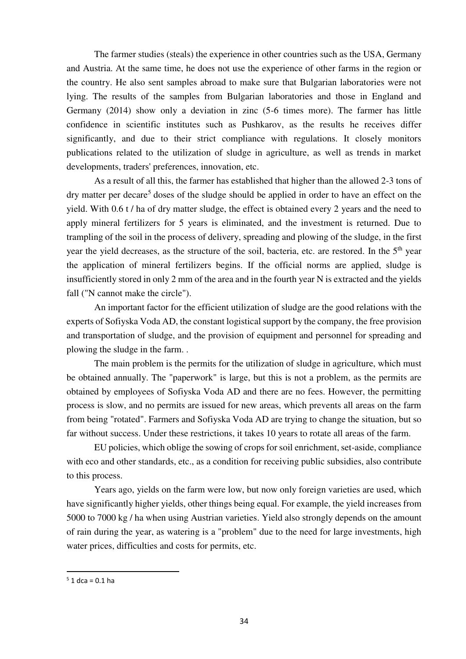The farmer studies (steals) the experience in other countries such as the USA, Germany and Austria. At the same time, he does not use the experience of other farms in the region or the country. He also sent samples abroad to make sure that Bulgarian laboratories were not lying. The results of the samples from Bulgarian laboratories and those in England and Germany (2014) show only a deviation in zinc (5-6 times more). The farmer has little confidence in scientific institutes such as Pushkarov, as the results he receives differ significantly, and due to their strict compliance with regulations. It closely monitors publications related to the utilization of sludge in agriculture, as well as trends in market developments, traders' preferences, innovation, etc.

As a result of all this, the farmer has established that higher than the allowed 2-3 tons of dry matter per decare<sup>5</sup> doses of the sludge should be applied in order to have an effect on the yield. With 0.6 t / ha of dry matter sludge, the effect is obtained every 2 years and the need to apply mineral fertilizers for 5 years is eliminated, and the investment is returned. Due to trampling of the soil in the process of delivery, spreading and plowing of the sludge, in the first year the yield decreases, as the structure of the soil, bacteria, etc. are restored. In the 5<sup>th</sup> year the application of mineral fertilizers begins. If the official norms are applied, sludge is insufficiently stored in only 2 mm of the area and in the fourth year N is extracted and the yields fall ("N cannot make the circle").

An important factor for the efficient utilization of sludge are the good relations with the experts of Sofiyska Voda AD, the constant logistical support by the company, the free provision and transportation of sludge, and the provision of equipment and personnel for spreading and plowing the sludge in the farm. .

The main problem is the permits for the utilization of sludge in agriculture, which must be obtained annually. The "paperwork" is large, but this is not a problem, as the permits are obtained by employees of Sofiyska Voda AD and there are no fees. However, the permitting process is slow, and no permits are issued for new areas, which prevents all areas on the farm from being "rotated". Farmers and Sofiyska Voda AD are trying to change the situation, but so far without success. Under these restrictions, it takes 10 years to rotate all areas of the farm.

EU policies, which oblige the sowing of crops for soil enrichment, set-aside, compliance with eco and other standards, etc., as a condition for receiving public subsidies, also contribute to this process.

Years ago, yields on the farm were low, but now only foreign varieties are used, which have significantly higher yields, other things being equal. For example, the yield increases from 5000 to 7000 kg / ha when using Austrian varieties. Yield also strongly depends on the amount of rain during the year, as watering is a "problem" due to the need for large investments, high water prices, difficulties and costs for permits, etc.

<u>.</u>

 $5$  1 dca = 0.1 ha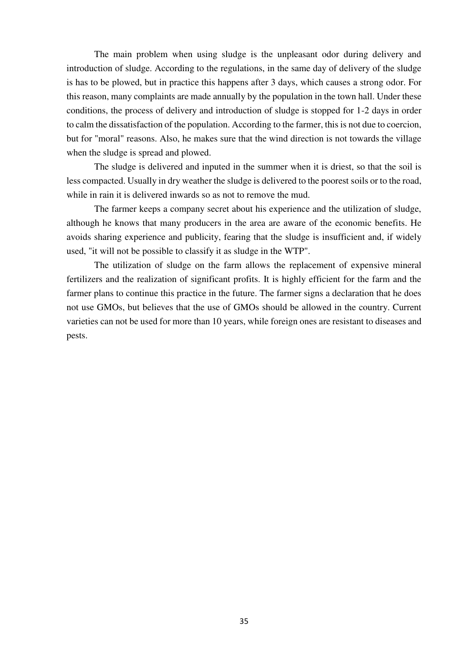The main problem when using sludge is the unpleasant odor during delivery and introduction of sludge. According to the regulations, in the same day of delivery of the sludge is has to be plowed, but in practice this happens after 3 days, which causes a strong odor. For this reason, many complaints are made annually by the population in the town hall. Under these conditions, the process of delivery and introduction of sludge is stopped for 1-2 days in order to calm the dissatisfaction of the population. According to the farmer, this is not due to coercion, but for "moral" reasons. Also, he makes sure that the wind direction is not towards the village when the sludge is spread and plowed.

The sludge is delivered and inputed in the summer when it is driest, so that the soil is less compacted. Usually in dry weather the sludge is delivered to the poorest soils or to the road, while in rain it is delivered inwards so as not to remove the mud.

The farmer keeps a company secret about his experience and the utilization of sludge, although he knows that many producers in the area are aware of the economic benefits. He avoids sharing experience and publicity, fearing that the sludge is insufficient and, if widely used, "it will not be possible to classify it as sludge in the WTP".

The utilization of sludge on the farm allows the replacement of expensive mineral fertilizers and the realization of significant profits. It is highly efficient for the farm and the farmer plans to continue this practice in the future. The farmer signs a declaration that he does not use GMOs, but believes that the use of GMOs should be allowed in the country. Current varieties can not be used for more than 10 years, while foreign ones are resistant to diseases and pests.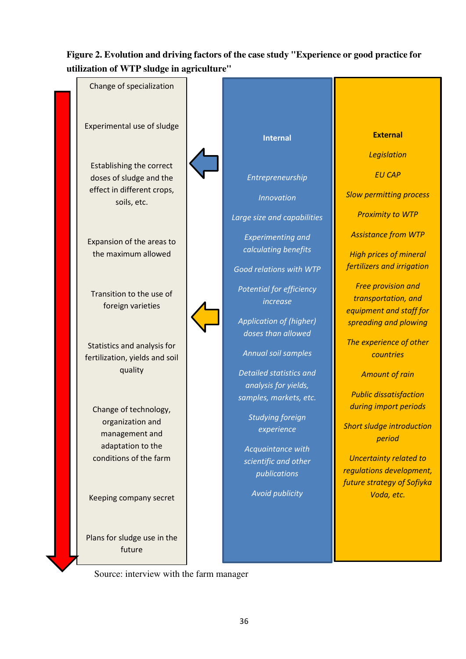## **Figure 2. Evolution and driving factors of the case study "Experience or good practice for utilization of WTP sludge in agriculture"**

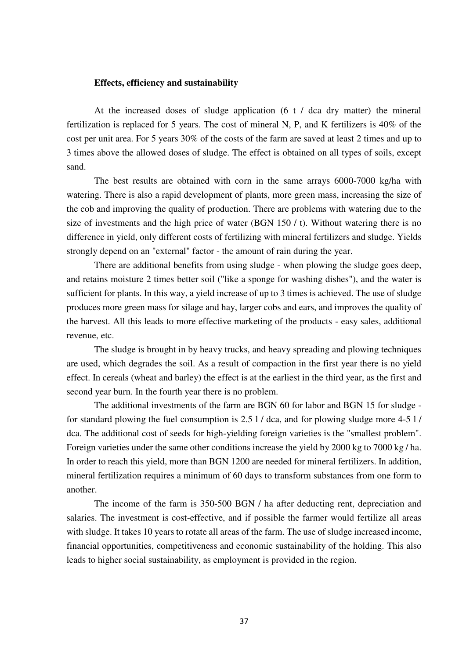## **Effects, efficiency and sustainability**

At the increased doses of sludge application (6 t / dca dry matter) the mineral fertilization is replaced for 5 years. The cost of mineral N, P, and K fertilizers is 40% of the cost per unit area. For 5 years 30% of the costs of the farm are saved at least 2 times and up to 3 times above the allowed doses of sludge. The effect is obtained on all types of soils, except sand.

The best results are obtained with corn in the same arrays 6000-7000 kg/ha with watering. There is also a rapid development of plants, more green mass, increasing the size of the cob and improving the quality of production. There are problems with watering due to the size of investments and the high price of water (BGN 150 / t). Without watering there is no difference in yield, only different costs of fertilizing with mineral fertilizers and sludge. Yields strongly depend on an "external" factor - the amount of rain during the year.

There are additional benefits from using sludge - when plowing the sludge goes deep, and retains moisture 2 times better soil ("like a sponge for washing dishes"), and the water is sufficient for plants. In this way, a yield increase of up to 3 times is achieved. The use of sludge produces more green mass for silage and hay, larger cobs and ears, and improves the quality of the harvest. All this leads to more effective marketing of the products - easy sales, additional revenue, etc.

The sludge is brought in by heavy trucks, and heavy spreading and plowing techniques are used, which degrades the soil. As a result of compaction in the first year there is no yield effect. In cereals (wheat and barley) the effect is at the earliest in the third year, as the first and second year burn. In the fourth year there is no problem.

The additional investments of the farm are BGN 60 for labor and BGN 15 for sludge for standard plowing the fuel consumption is 2.5 l / dca, and for plowing sludge more 4-5 l / dca. The additional cost of seeds for high-yielding foreign varieties is the "smallest problem". Foreign varieties under the same other conditions increase the yield by 2000 kg to 7000 kg / ha. In order to reach this yield, more than BGN 1200 are needed for mineral fertilizers. In addition, mineral fertilization requires a minimum of 60 days to transform substances from one form to another.

The income of the farm is 350-500 BGN / ha after deducting rent, depreciation and salaries. The investment is cost-effective, and if possible the farmer would fertilize all areas with sludge. It takes 10 years to rotate all areas of the farm. The use of sludge increased income, financial opportunities, competitiveness and economic sustainability of the holding. This also leads to higher social sustainability, as employment is provided in the region.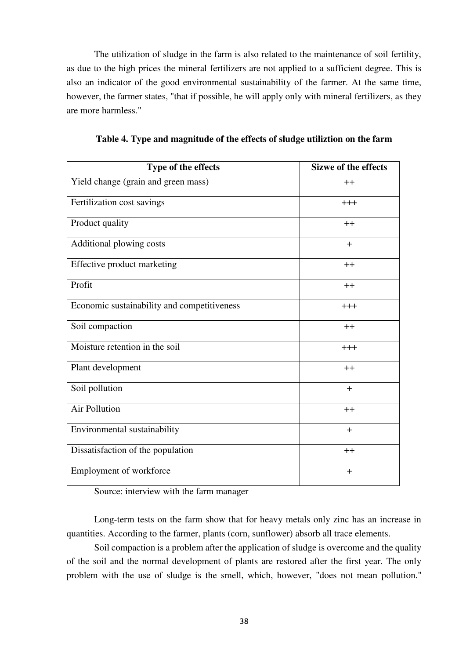The utilization of sludge in the farm is also related to the maintenance of soil fertility, as due to the high prices the mineral fertilizers are not applied to a sufficient degree. This is also an indicator of the good environmental sustainability of the farmer. At the same time, however, the farmer states, "that if possible, he will apply only with mineral fertilizers, as they are more harmless."

| Type of the effects                         | Sizwe of the effects |
|---------------------------------------------|----------------------|
| Yield change (grain and green mass)         | $++$                 |
| Fertilization cost savings                  | $+++$                |
| Product quality                             | $++$                 |
| Additional plowing costs                    | $+$                  |
| Effective product marketing                 | $++$                 |
| Profit                                      | $++$                 |
| Economic sustainability and competitiveness | $+++$                |
| Soil compaction                             | $++$                 |
| Moisture retention in the soil              | $^{+++}$             |
| Plant development                           | $++$                 |
| Soil pollution                              | $+$                  |
| Air Pollution                               | $++$                 |
| Environmental sustainability                | $+$                  |
| Dissatisfaction of the population           | $++$                 |
| Employment of workforce                     | $+$                  |

**Table 4. Type and magnitude of the effects of sludge utiliztion on the farm** 

Source: interview with the farm manager

Long-term tests on the farm show that for heavy metals only zinc has an increase in quantities. According to the farmer, plants (corn, sunflower) absorb all trace elements.

Soil compaction is a problem after the application of sludge is overcome and the quality of the soil and the normal development of plants are restored after the first year. The only problem with the use of sludge is the smell, which, however, "does not mean pollution."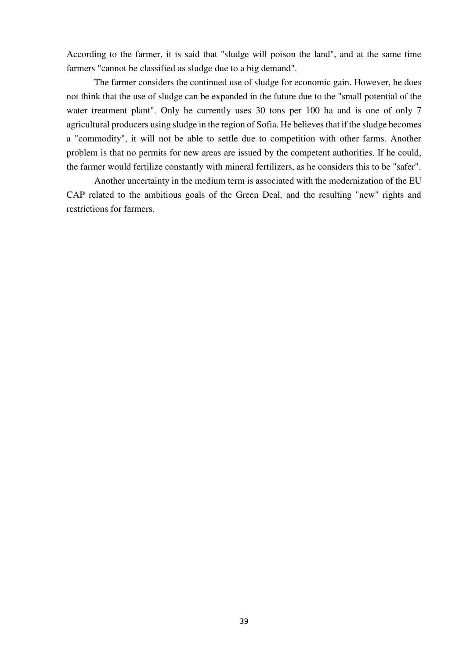According to the farmer, it is said that "sludge will poison the land", and at the same time farmers "cannot be classified as sludge due to a big demand".

The farmer considers the continued use of sludge for economic gain. However, he does not think that the use of sludge can be expanded in the future due to the "small potential of the water treatment plant". Only he currently uses 30 tons per 100 ha and is one of only 7 agricultural producers using sludge in the region of Sofia. He believes that if the sludge becomes a "commodity", it will not be able to settle due to competition with other farms. Another problem is that no permits for new areas are issued by the competent authorities. If he could, the farmer would fertilize constantly with mineral fertilizers, as he considers this to be "safer".

Another uncertainty in the medium term is associated with the modernization of the EU CAP related to the ambitious goals of the Green Deal, and the resulting "new" rights and restrictions for farmers.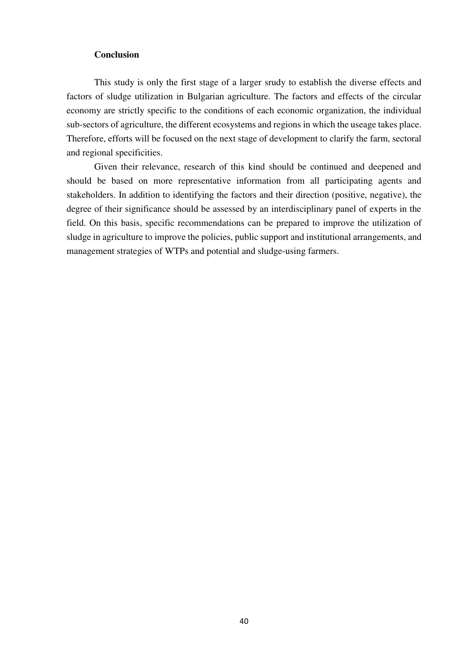## **Conclusion**

This study is only the first stage of a larger srudy to establish the diverse effects and factors of sludge utilization in Bulgarian agriculture. The factors and effects of the circular economy are strictly specific to the conditions of each economic organization, the individual sub-sectors of agriculture, the different ecosystems and regions in which the useage takes place. Therefore, efforts will be focused on the next stage of development to clarify the farm, sectoral and regional specificities.

Given their relevance, research of this kind should be continued and deepened and should be based on more representative information from all participating agents and stakeholders. In addition to identifying the factors and their direction (positive, negative), the degree of their significance should be assessed by an interdisciplinary panel of experts in the field. On this basis, specific recommendations can be prepared to improve the utilization of sludge in agriculture to improve the policies, public support and institutional arrangements, and management strategies of WTPs and potential and sludge-using farmers.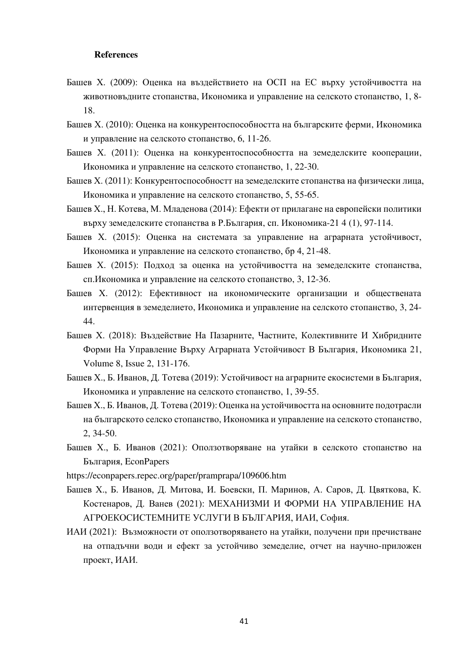### **References**

- Башев Х. (2009): Оценка на въздействието на ОСП на ЕС върху устойчивостта на животновъдните стопанства, Икономика и управление на селското стопанство, 1, 8- 18.
- Башев Х. (2010): Оценка на конкурентоспособността на българските ферми, Икономика и управление на селското стопанство, 6, 11-26.
- Башев Х. (2011): Оценка на конкурентоспособността на земеделските кооперации, Икономика и управление на селското стопанство, 1, 22-30.
- Башев Х. (2011): Конкурентоспособностт на земеделските стопанства на физически лица, Икономика и управление на селското стопанство, 5, 55-65.
- Башев Х., Н. Котева, М. Младенова (2014): Ефекти от прилагане на европейски политики върху земеделските стопанства в Р.България, сп. Икономика-21 4 (1), 97-114.
- Башев Х. (2015): Оценка на системата за управление на аграрната устойчивост, Икономика и управление на селското стопанство, бр 4, 21-48.
- Башев Х. (2015): Подход за оценка на устойчивостта на земеделските стопанства, сп.Икономика и управление на селското стопанство, 3, 12-36.
- Башев Х. (2012): Ефективност на икономическите организации и обществената интервенция в земеделието, Икономика и управление на селското стопанство, 3, 24- 44.
- Башев Х. (2018): Въздействие На Пазарните, Частните, Колективните И Хибридните Форми На Управление Върху Аграрната Устойчивост В България, Икономика 21, Volume 8, Issue 2, 131-176.
- Башев Х., Б. Иванов, Д. Тотева (2019): Устойчивост на аграрните екосистеми в България, Икономика и управление на селското стопанство, 1, 39-55.
- Башев Х., Б. Иванов, Д. Тотева (2019): Оценка на устойчивостта на основните подотрасли на българското селско стопанство, Икономика и управление на селското стопанство, 2, 34-50.
- Башев Х., Б. Иванов (2021): Оползотворяване на утайки в селското стопанство на България, EconPapers
- https://econpapers.repec.org/paper/pramprapa/109606.htm
- Башев Х., Б. Иванов, Д. Митова, И. Боевски, П. Маринов, А. Саров, Д. Цвяткова, К. Костенаров, Д. Ванев (2021): МЕХАНИЗМИ И ФОРМИ НА УПРАВЛЕНИЕ НА АГРОЕКОСИСТЕМНИТЕ УСЛУГИ В БЪЛГАРИЯ, ИАИ, София.
- ИАИ (2021): Възможности от оползотворяването на утайки, получени при пречистване на отпадъчни води и ефект за устойчиво земеделие, отчет на научно-приложен проект, ИАИ.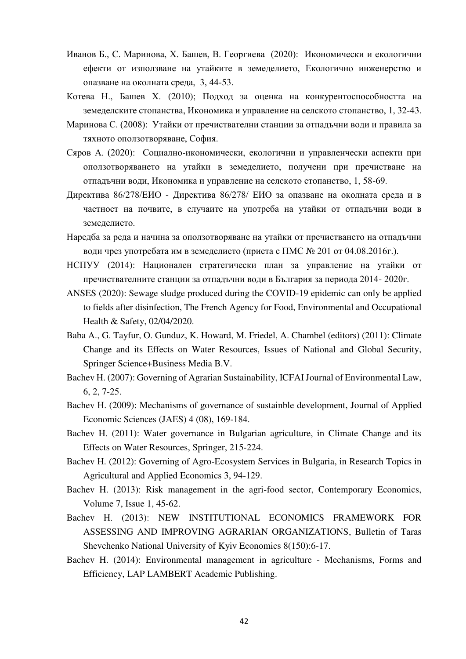- Иванов Б., С. Маринова, Х. Башев, В. Георгиева (2020): Икономически и екологични ефекти от използване на утайките в земеделието, Екологично инженерство и опазване на околната среда, 3, 44-53.
- Котева Н., Башев Х. (2010); Подход за оценка на конкурентоспособността на земеделските стопанства, Икономика и управление на селското стопанство, 1, 32-43.
- Маринова С. (2008): Утайки от пречиствателни станции за отпадъчни води и правила за тяхното оползотворяване, София.
- Сяров А. (2020): Социално-икономически, екологични и управленчески аспекти при оползотворяването на утайки в земеделието, получени при пречистване на отпадъчни води, Икономика и управление на селското стопанство, 1, 58-69.
- Директива 86/278/ЕИО Директива 86/278/ ЕИО за опазване на околната среда и в частност на почвите, в случаите на употреба на утайки от отпадъчни води в земеделието.
- Наредба за реда и начина за оползотворяване на утайки от пречистването на отпадъчни води чрез употребата им в земеделието (приета с ПМС № 201 от 04.08.2016г.).
- НСПУУ (2014): Национален стратегически план за управление на утайки от пречиствателните станции за отпадъчни води в България за периода 2014- 2020г.
- ANSES (2020): Sewage sludge produced during the COVID-19 epidemic can only be applied to fields after disinfection, The French Agency for Food, Environmental and Occupational Health & Safety, 02/04/2020.
- Baba A., G. Tayfur, O. Gunduz, K. Howard, M. Friedel, A. Chambel (editors) (2011): Climate Change and its Effects on Water Resources, Issues of National and Global Security, Springer Science+Business Media B.V.
- Bachev H. (2007): Governing of Agrarian Sustainability, ICFAI Journal of Environmental Law, 6, 2, 7-25.
- Bachev H. (2009): Mechanisms of governance of sustainble development, Journal of Applied Economic Sciences (JAES) 4 (08), 169-184.
- Bachev H. (2011): Water governance in Bulgarian agriculture, in Climate Change and its Effects on Water Resources, Springer, 215-224.
- Bachev H. (2012): Governing of Agro-Ecosystem Services in Bulgaria, in Research Topics in Agricultural and Applied Economics 3, 94-129.
- Bachev H. (2013): Risk management in the agri-food sector, Contemporary Economics, Volume 7, Issue 1, 45-62.
- Bachev H. (2013): NEW INSTITUTIONAL ECONOMICS FRAMEWORK FOR ASSESSING AND IMPROVING AGRARIAN ORGANIZATIONS, Bulletin of Taras Shevchenko National University of Kyiv Economics 8(150):6-17.
- Bachev H. (2014): Environmental management in agriculture Mechanisms, Forms and Efficiency, LAP LAMBERT Academic Publishing.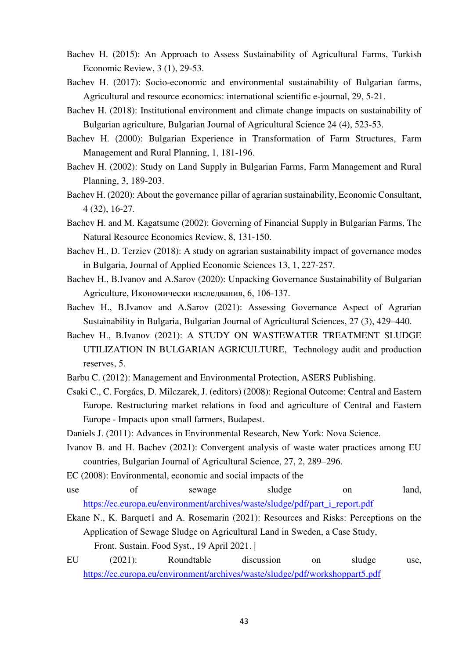- Bachev H. (2015): An Approach to Assess Sustainability of Agricultural Farms, Turkish Economic Review, 3 (1), 29-53.
- Bachev H. (2017): Socio-economic and environmental sustainability of Bulgarian farms, Agricultural and resource economics: international scientific e-journal, 29, 5-21.
- Bachev H. (2018): Institutional environment and climate change impacts on sustainability of Bulgarian agriculture, Bulgarian Journal of Agricultural Science 24 (4), 523-53.
- Bachev H. (2000): Bulgarian Experience in Transformation of Farm Structures, Farm Management and Rural Planning, 1, 181-196.
- Bachev H. (2002): Study on Land Supply in Bulgarian Farms, Farm Management and Rural Planning, 3, 189-203.
- Bachev H. (2020): About the governance pillar of agrarian sustainability, Economic Consultant, 4 (32), 16-27.
- Bachev H. and M. Kagatsume (2002): Governing of Financial Supply in Bulgarian Farms, The Natural Resource Economics Review, 8, 131-150.
- Bachev H., D. Terziev (2018): A study on agrarian sustainability impact of governance modes in Bulgaria, Journal of Applied Economic Sciences 13, 1, 227-257.
- Bachev H., B.Ivanov and A.Sarov (2020): Unpacking Governance Sustainability of Bulgarian Agriculture, Икономически изследвания, 6, 106-137.
- Bachev H., B.Ivanov and A.Sarov (2021): Assessing Governance Aspect of Agrarian Sustainability in Bulgaria, Bulgarian Journal of Agricultural Sciences, 27 (3), 429–440.
- Bachev H., B.Ivanov (2021): A STUDY ON WASTEWATER TREATMENT SLUDGE UTILIZATION IN BULGARIAN AGRICULTURE, Technology audit and production reserves, 5.
- Barbu C. (2012): Management and Environmental Protection, ASERS Publishing.
- Csaki C., C. Forgács, D. Milczarek, J. (editors) (2008): Regional Outcome: Central and Eastern Europe. Restructuring market relations in food and agriculture of Central and Eastern Europe - Impacts upon small farmers, Budapest.
- Daniels J. (2011): Advances in Environmental Research, New York: Nova Science.
- Ivanov B. and H. Bachev (2021): Convergent analysis of waste water practices among EU countries, Bulgarian Journal of Agricultural Science, 27, 2, 289–296.
- EC (2008): Environmental, economic and social impacts of the
- use of sewage sludge on land, [https://ec.europa.eu/environment/archives/waste/sludge/pdf/part\\_i\\_report.pdf](https://ec.europa.eu/environment/archives/waste/sludge/pdf/part_i_report.pdf)
- Ekane N., K. Barquet1 and A. Rosemarin (2021): Resources and Risks: Perceptions on the Application of Sewage Sludge on Agricultural Land in Sweden, a Case Study, Front. Sustain. Food Syst., 19 April 2021. |
- EU (2021): Roundtable discussion on sludge use, <https://ec.europa.eu/environment/archives/waste/sludge/pdf/workshoppart5.pdf>